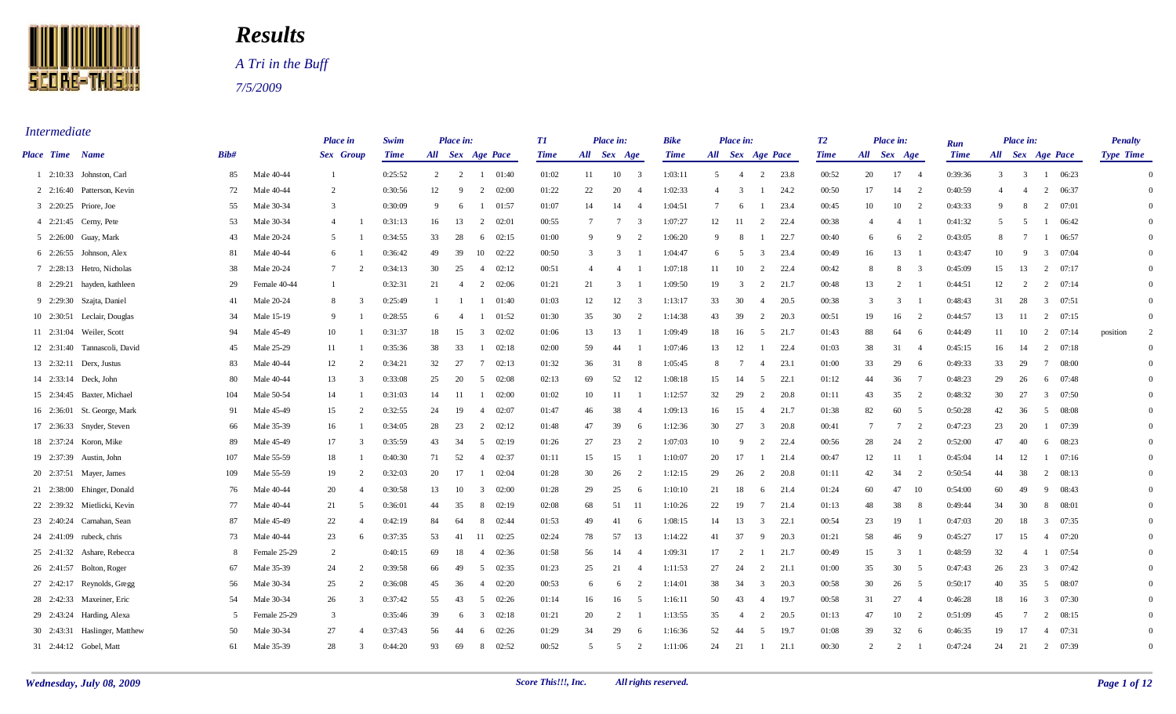

## *Results*

 *A Tri in the Buff 7/5/2009* 

*Intermediate* 

|                 |                               |      |              | Place in                         | Swim        |    | Place in:           |                         |                 | TI          |                 | Place in:       |                         | Bike        |                | Place in:        |                |        | T2          |                | Place in:       |                | Run         |                  | Place in:      |                |         | <b>Penalty</b>   |                |
|-----------------|-------------------------------|------|--------------|----------------------------------|-------------|----|---------------------|-------------------------|-----------------|-------------|-----------------|-----------------|-------------------------|-------------|----------------|------------------|----------------|--------|-------------|----------------|-----------------|----------------|-------------|------------------|----------------|----------------|---------|------------------|----------------|
| Place Time Name |                               | Bib# |              | Sex Group                        | <b>Time</b> |    | All Sex Age Pace    |                         |                 | <b>Time</b> | All Sex Age     |                 |                         | <b>Time</b> |                | All Sex Age Pace |                |        | <b>Time</b> | All Sex Age    |                 |                | <b>Time</b> | All Sex Age Pace |                |                |         | <b>Type Time</b> |                |
|                 | 1 2:10:33 Johnston, Carl      | 85   | Male 40-44   | -1                               | 0:25:52     |    | $2 \t 2$            |                         | $1 \quad 01:40$ | 01:02       | 11              |                 | $10 \qquad 3$           | 1:03:11     | 5 <sup>5</sup> | $\overline{4}$   |                | 2 23.8 | 00:52       | 20             | 17              | $\overline{4}$ | 0:39:36     |                  | $3 \quad 3$    |                | 1 06:23 |                  | $\Omega$       |
|                 | 2 2:16:40 Patterson, Kevin    | 72   | Male 40-44   | 2                                | 0:30:56     | 12 | - 9                 | 2                       | 02:00           | 01:22       | 22              | 20              | 4                       | 1:02:33     | $\overline{4}$ | 3                | - 1            | 24.2   | 00:50       | 17             | 14              | 2              | 0:40:59     | $\overline{4}$   | $\overline{4}$ | 2              | 06:37   |                  | $\Omega$       |
|                 | 3 2:20:25 Priore, Joe         | 55   | Male 30-34   | 3                                | 0:30:09     | 9  | 6                   |                         | 01:57           | 01:07       | 14              | 14              | $\overline{4}$          | 1:04:51     | 7              | 6                |                | 23.4   | 00:45       | 10             | 10              | $\overline{2}$ | 0:43:33     | 9                | -8             | 2              | 07:01   |                  |                |
|                 | 4 2:21:45 Cerny, Pete         | 53   | Male 30-34   | $\overline{4}$                   | 0:31:13     | 16 | 13                  | 2                       | 02:01           | 00:55       | $7\phantom{.0}$ | $7\phantom{.0}$ | $\overline{3}$          | 1:07:27     | 12             | -11              | 2              | 22.4   | 00:38       | $\overline{4}$ | 4               |                | 0:41:32     | $\overline{5}$   | - 5            | -1             | 06:42   |                  |                |
|                 | 5 2:26:00 Guay, Mark          | 43   | Male 20-24   | 5                                | 0:34:55     | 33 | 28                  |                         | $6 \quad 02:15$ | 01:00       | 9               | -9              | 2                       | 1:06:20     | 9              | -8               | - 1            | 22.7   | 00:40       | 6              | 6               | 2              | 0:43:05     | 8                | - 7            | $\overline{1}$ | 06:57   |                  |                |
|                 | 6 2:26:55 Johnson, Alex       | 81   | Male 40-44   | 6                                | 0:36:42     | 49 | 39                  |                         | 10 02:22        | 00:50       | $\overline{3}$  | 3               |                         | 1:04:47     | 6              | - 5              | $\overline{3}$ | 23.4   | 00:49       | 16             | 13              | - 1            | 0:43:47     | 10               | 9              | 3              | 07:04   |                  |                |
|                 | 7 2:28:13 Hetro, Nicholas     | 38   | Male 20-24   | $7\phantom{.0}$<br>$\mathcal{D}$ | 0:34:13     | 30 | 25                  | $\overline{4}$          | 02:12           | 00:51       | $\overline{4}$  | $\overline{4}$  |                         | 1:07:18     | 11             | 10               | 2              | 22.4   | 00:42       | 8              | 8               | $\overline{3}$ | 0:45:09     | 15               | 13             | 2              | 07:17   |                  |                |
|                 | 8 2:29:21 hayden, kathleen    | 29   | Female 40-44 |                                  | 0:32:31     | 21 | $\overline{4}$      |                         | 2 02:06         | 01:21       | 21              | 3               |                         | 1:09:50     | 19             | 3                | 2              | 21.7   | 00:48       | 13             | 2               |                | 0:44:51     | 12               | 2              | 2              | 07:14   |                  |                |
|                 | 9 2:29:30 Szajta, Daniel      | -41  | Male 20-24   | 3<br>8                           | 0:25:49     | -1 |                     |                         | 01:40           | 01:03       | 12              | 12              | $\overline{\mathbf{3}}$ | 1:13:17     | 33             | 30               | 4              | 20.5   | 00:38       | 3              | $\overline{3}$  |                | 0:48:43     | 31               | 28             | 3              | 07:51   |                  |                |
|                 | 10 2:30:51 Leclair, Douglas   | 34   | Male 15-19   | -9                               | 0:28:55     |    | 6<br>$\overline{4}$ |                         | 01:52           | 01:30       | 35              | 30              | 2                       | 1:14:38     | 43             | 39               | 2              | 20.3   | 00:51       | 19             | 16              | $\overline{2}$ | 0:44:57     | 13               | -11            | 2              | 07:15   |                  |                |
|                 | 11 2:31:04 Weiler, Scott      | 94   | Male 45-49   | 10                               | 0:31:37     | 18 | 15                  |                         | $3 \quad 02:02$ | 01:06       | 13              | 13              | - 1                     | 1:09:49     | 18             | 16               | 5              | 21.7   | 01:43       | 88             | 64              | - 6            | 0:44:49     | 11               | 10             | 2              | 07:14   | position         | $\overline{2}$ |
|                 | 12 2:31:40 Tannascoli, David  | 45   | Male 25-29   | 11                               | 0:35:36     | 38 | 33                  | 1                       | 02:18           | 02:00       | 59              | 44              |                         | 1:07:46     | 13             | 12               | - 1            | 22.4   | 01:03       | 38             | 31              | -4             | 0:45:15     | 16               | 14             | $\overline{2}$ | 07:18   |                  |                |
|                 | 13 2:32:11 Derx, Justus       | 83   | Male 40-44   | 12<br>$\overline{2}$             | 0:34:21     | 32 | 27                  | $7\phantom{.0}$         | 02:13           | 01:32       | 36              | 31              | - 8                     | 1:05:45     | 8              |                  | $\overline{4}$ | 23.1   | 01:00       | 33             | 29              | - 6            | 0:49:33     | 33               | 29             | $\overline{7}$ | 08:00   |                  |                |
|                 | 14 2:33:14 Deck, John         | 80   | Male 40-44   | 13<br>$\mathcal{R}$              | 0:33:08     | 25 | 20                  | 5                       | 02:08           | 02:13       | 69              | 52              | 12                      | 1:08:18     | 15             | 14               | 5              | 22.1   | 01:12       | 44             | 36              | $\mathcal{I}$  | 0:48:23     | 29               | 26             | 6              | 07:48   |                  |                |
|                 | 15 2:34:45 Baxter, Michael    | 104  | Male 50-54   | 14                               | 0:31:03     | 14 | -11                 |                         | $1 \t 02:00$    | 01:02       | 10              | 11              |                         | 1:12:57     | 32             | 29               | 2              | 20.8   | 01:11       | 43             | 35              | $\overline{2}$ | 0:48:32     | 30               | 27             | $\overline{3}$ | 07:50   |                  |                |
|                 | 16 2:36:01 St. George, Mark   | -91  | Male 45-49   | 15<br>2                          | 0:32:55     | 24 | -19                 | $\overline{4}$          | 02:07           | 01:47       | 46              | 38              | $\overline{4}$          | 1:09:13     | 16             | 15               | $\overline{4}$ | 21.7   | 01:38       | 82             | 60              | - 5            | 0:50:28     | 42               | 36             | .5             | 08:08   |                  |                |
|                 | 17 2:36:33 Snyder, Steven     | 66   | Male 35-39   | 16                               | 0:34:05     | 28 | 23                  | 2                       | 02:12           | 01:48       | 47              | 39              | - 6                     | 1:12:36     | 30             | 27               | $\mathbf{3}$   | 20.8   | 00:41       | $\overline{7}$ | $7\phantom{.0}$ | 2              | 0:47:23     | 23               | 20             |                | 07:39   |                  |                |
|                 | 18 2:37:24 Koron, Mike        | 89   | Male 45-49   | 17<br>$\mathcal{R}$              | 0:35:59     | 43 | 34                  | 5 <sup>5</sup>          | 02:19           | 01:26       | 27              | 23              | 2                       | 1:07:03     | 10             | -9               | 2              | 22.4   | 00:56       | 28             | 24              | $\overline{2}$ | 0:52:00     | 47               | 40             | 6              | 08:23   |                  |                |
|                 | 19 2:37:39 Austin, John       | 107  | Male 55-59   | 18                               | 0:40:30     | 71 | 52                  | $\overline{4}$          | 02:37           | 01:11       | 15              | 15              |                         | 1:10:07     | 20             | 17               |                | 21.4   | 00:47       | 12             | 11              |                | 0:45:04     | 14               | 12             |                | 07:16   |                  |                |
|                 | 20 2:37:51 Mayer, James       | 109  | Male 55-59   | 19<br>$\overline{2}$             | 0:32:03     | 20 | 17                  |                         | 02:04           | 01:28       | 30              | 26              | 2                       | 1:12:15     | 29             | 26               | 2              | 20.8   | 01:11       | 42             | 34              | $\overline{2}$ | 0:50:54     | 44               | 38             | 2              | 08:13   |                  |                |
|                 | 21 2:38:00 Ehinger, Donald    | 76   | Male 40-44   | 20                               | 0:30:58     | 13 | 10                  | $\overline{\mathbf{3}}$ | 02:00           | 01:28       | 29              | 25              | - 6                     | 1:10:10     | 21             | 18               | 6              | 21.4   | 01:24       | 60             | 47              | -10            | 0:54:00     | 60               | 49             | 9              | 08:43   |                  |                |
|                 | 22 2:39:32 Mietlicki, Kevin   | -77  | Male 40-44   | 21<br>.5                         | 0:36:01     | 44 | 35                  | 8                       | 02:19           | 02:08       | 68              | 51              | - 11                    | 1:10:26     | 22             | 19               | 7              | 21.4   | 01:13       | 48             | 38              | -8             | 0:49:44     | 34               | 30             | 8              | 08:01   |                  |                |
|                 | 23 2:40:24 Carnahan, Sean     | 87   | Male 45-49   | 22<br>$\overline{4}$             | 0:42:19     | 84 | 64                  | 8                       | 02:44           | 01:53       | 49              | 41              | - 6                     | 1:08:15     | 14             | 13               | $\overline{3}$ | 22.1   | 00:54       | 23             | 19              |                | 0:47:03     | 20               | 18             | $\overline{3}$ | 07:35   |                  |                |
|                 | 24 2:41:09 rubeck, chris      | 73   | Male 40-44   | 23<br>6                          | 0:37:35     | 53 | 41                  | 11                      | 02:25           | 02:24       | 78              | 57              | 13                      | 1:14:22     | 41             | 37               | -9             | 20.3   | 01:21       | 58             | 46              | - 9            | 0:45:27     | 17               | 15             | 4              | 07:20   |                  |                |
|                 | 25 2:41:32 Ashare, Rebecca    | 8    | Female 25-29 | 2                                | 0:40:15     | 69 | 18                  | $\overline{4}$          | 02:36           | 01:58       | 56              | 14              | $\overline{4}$          | 1:09:31     | 17             | 2                | -1             | 21.7   | 00:49       | 15             | $\overline{3}$  |                | 0:48:59     | 32               | $\overline{4}$ | -1             | 07:54   |                  |                |
|                 | 26 2:41:57 Bolton, Roger      | 67   | Male 35-39   | 24<br>$\overline{2}$             | 0:39:58     | 66 | 49                  | 5                       | 02:35           | 01:23       | 25              | 21              | $\overline{4}$          | 1:11:53     | 27             | 24               | 2              | 21.1   | 01:00       | 35             | 30              | 5              | 0:47:43     | 26               | 23             | 3              | 07:42   |                  |                |
|                 | 27 2:42:17 Reynolds, Gregg    | 56   | Male 30-34   | 25<br>$\overline{2}$             | 0:36:08     | 45 | 36                  | $\overline{4}$          | 02:20           | 00:53       | 6               | -6              | 2                       | 1:14:01     | 38             | 34               | $\overline{3}$ | 20.3   | 00:58       | 30             | 26              | 5              | 0:50:17     | 40               | 35             | 5              | 08:07   |                  |                |
|                 | 28 2:42:33 Maxeiner, Eric     | 54   | Male 30-34   | 26<br>$\mathcal{R}$              | 0:37:42     | 55 | 43                  | -5                      | 02:26           | 01:14       | 16              | 16              | 5                       | 1:16:11     | 50             | 43               | $\overline{4}$ | 19.7   | 00:58       | 31             | 27              | $\overline{4}$ | 0:46:28     | 18               | 16             | 3              | 07:30   |                  |                |
|                 | 29 2:43:24 Harding, Alexa     | 5    | Female 25-29 | $\overline{3}$                   | 0:35:46     | 39 | 6                   | 3                       | 02:18           | 01:21       | 20              | 2               |                         | 1:13:55     | 35             | -4               | 2              | 20.5   | 01:13       | 47             | 10              | $\overline{2}$ | 0:51:09     | 45               | $\overline{7}$ | 2              | 08:15   |                  |                |
|                 | 30 2:43:31 Haslinger, Matthew | 50   | Male 30-34   | 27<br>$\overline{4}$             | 0:37:43     | 56 | 44                  | 6                       | 02:26           | 01:29       | 34              | 29              | - 6                     | 1:16:36     | 52             | 44               | $\overline{5}$ | 19.7   | 01:08       | 39             | 32              | - 6            | 0:46:35     | 19               | 17             | 4              | 07:31   |                  |                |
|                 | 31 2:44:12 Gobel, Matt        | 61   | Male 35-39   | 28<br>3                          | 0:44:20     | 93 | 69                  | 8                       | 02:52           | 00:52       | $\overline{2}$  | 5               | 2                       | 1:11:06     | 24             | 21               | -1             | 21.1   | 00:30       | $\overline{2}$ | 2               | $\overline{1}$ | 0:47:24     | 24               | 21             | 2              | 07:39   |                  | $\Omega$       |
|                 |                               |      |              |                                  |             |    |                     |                         |                 |             |                 |                 |                         |             |                |                  |                |        |             |                |                 |                |             |                  |                |                |         |                  |                |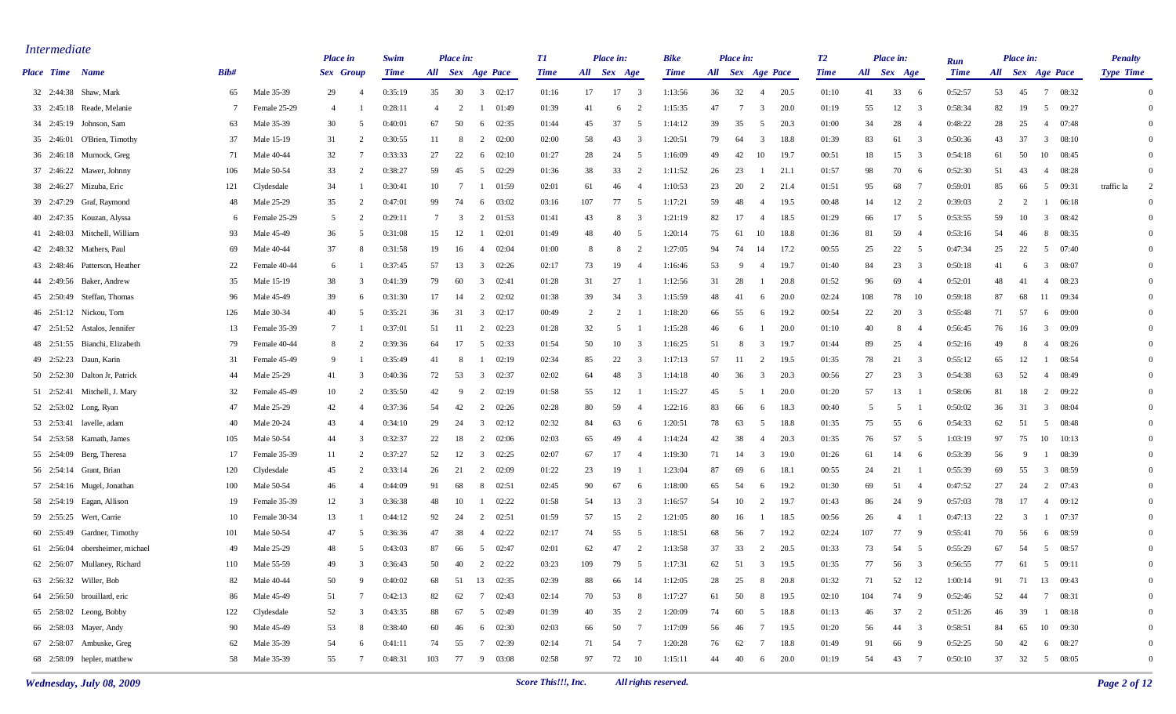| <i>Intermediate</i> |                                 |      |              | <b>Place</b> in |                | Swim        |     | Place in: |                                  | T1          |     | Place in:      |                         | <b>Bike</b> |    | Place in:        |                 |       | T2          |     | Place in:                      |                         | Run         |    | Place in: |                          | <b>Penalty</b>   |                |
|---------------------|---------------------------------|------|--------------|-----------------|----------------|-------------|-----|-----------|----------------------------------|-------------|-----|----------------|-------------------------|-------------|----|------------------|-----------------|-------|-------------|-----|--------------------------------|-------------------------|-------------|----|-----------|--------------------------|------------------|----------------|
| Place Time Name     |                                 | Bib# |              | Sex Group       |                | <b>Time</b> |     |           | All Sex Age Pace                 | <b>Time</b> |     | All Sex Age    |                         | <b>Time</b> |    | All Sex Age Pace |                 |       | <b>Time</b> |     | All Sex Age                    |                         | <b>Time</b> |    |           | All Sex Age Pace         | <b>Type Time</b> |                |
|                     | 32 2:44:38 Shaw, Mark           | 65   | Male 35-39   | 29              | $\overline{4}$ | 0:35:19     | 35  | 30        | $\overline{3}$<br>02:17          | 01:16       | 17  | 17             | $\overline{\mathbf{3}}$ | 1:13:56     | 36 | 32               | $\overline{4}$  | 20.5  | 01:10       | 41  | 33                             | - 6                     | 0:52:57     | 53 | 45        | $7\phantom{.0}$<br>08:32 |                  | $\Omega$       |
|                     | 33 2:45:18 Reade, Melanie       | -7   | Female 25-29 | 4               |                | 0:28:11     | -4  | 2         | 01:49                            | 01:39       | 41  | 6              | $\overline{2}$          | 1:15:35     | 47 | -7               | 3               | 20.0  | 01:19       | 55  | 12                             | - 3                     | 0:58:34     | 82 | 19        | 5<br>09:27               |                  | $\Omega$       |
|                     | 34 2:45:19 Johnson, Sam         | 63   | Male 35-39   | 30              |                | 0:40:01     | 67  | 50        | 02:35<br>6                       | 01:44       | 45  | 37             | -5                      | 1:14:12     | 39 | 35               | -5              | 20.3  | 01:00       | 34  | 28                             | -4                      | 0:48:22     | 28 | 25        | 07:48<br>4               |                  | $\Omega$       |
|                     | 35 2:46:01 O'Brien, Timothy     | 37   | Male 15-19   | 31              | $\overline{2}$ | 0:30:55     | 11  | 8         | 2<br>02:00                       | 02:00       | 58  | 43             | -3                      | 1:20:51     | 79 | 64               | -3              | 18.8  | 01:39       | 83  | 61                             | -3                      | 0:50:36     | 43 | 37        | 3<br>08:10               |                  | $\Omega$       |
|                     | 36 2:46:18 Murnock, Greg        | -71  | Male 40-44   | 32              | -7             | 0:33:33     | 27  | 22        | 02:10<br>6                       | 01:27       | 28  | 24             | -5                      | 1:16:09     | 49 | 42               | 10              | 19.7  | 00:51       | 18  | 15                             | 3                       | 0:54:18     | 61 | 50        | 10<br>08:45              |                  | $\Omega$       |
|                     | 37 2:46:22 Mawer, Johnny        | 106  | Male 50-54   | 33              | $\overline{2}$ | 0:38:27     | 59  | 45        | 5<br>02:29                       | 01:36       | 38  | 33             | $\overline{2}$          | 1:11:52     | 26 | 23               |                 | 21.1  | 01:57       | 98  | 70                             | - 6                     | 0:52:30     | 51 | 43        | 08:28<br>-4              |                  | $\Omega$       |
|                     | 38 2:46:27 Mizuba, Eric         | 121  | Clydesdale   | 34              |                | 0:30:41     | 10  | -7        | 01:59<br>-1                      | 02:01       | 61  | 46             | $\overline{4}$          | 1:10:53     | 23 | 20               | 2               | 21.4  | 01:51       | 95  | 68                             | - 7                     | 0:59:01     | 85 | 66        | 09:31<br>5               | traffic la       | 2              |
|                     | 39 2:47:29 Graf, Raymond        | 48   | Male 25-29   | 35              |                | 0:47:01     | 99  | 74        | 03:02<br>6                       | 03:16       | 107 | 77             | -5                      | 1:17:21     | 59 | 48               | -4              | 19.5  | 00:48       | 14  | 12                             | - 2                     | 0:39:03     | 2  | 2         | 06:18<br>1               |                  | $\overline{0}$ |
|                     | 40 2:47:35 Kouzan, Alyssa       | 6    | Female 25-29 | 5               | 2              | 0:29:11     | 7   | 3         | 2<br>01:53                       | 01:41       | 43  | -8             | 3                       | 1:21:19     | 82 | 17               | -4              | 18.5  | 01:29       | 66  | 17                             | 5                       | 0:53:55     | 59 | 10        | 3<br>08:42               |                  | $\Omega$       |
|                     | 41 2:48:03 Mitchell, William    | 93   | Male 45-49   | 36              | 5              | 0:31:08     | 15  | 12        | 02:01                            | 01:49       | 48  | 40             | -5                      | 1:20:14     | 75 | 61               | 10              | 18.8  | 01:36       | 81  | 59                             | -4                      | 0:53:16     | 54 | 46        | 8<br>08:35               |                  | $\Omega$       |
|                     | 42 2:48:32 Mathers, Paul        | -69  | Male 40-44   | 37              |                | 0:31:58     | 19  | 16        | 02:04<br>-4                      | 01:00       |     | -8             | 2                       | 1:27:05     | 94 | 74               | 14              | 17.2  | 00:55       | 25  | 22                             | - 5                     | 0:47:34     | 25 | 22        | 5<br>07:40               |                  | $\Omega$       |
|                     | 43 2:48:46 Patterson, Heather   | 22   | Female 40-44 | 6               |                | 0:37:45     | 57  | 13        | $\overline{3}$<br>02:26          | 02:17       | 73  | 19             | $\overline{4}$          | 1:16:46     | 53 | -9               | -4              | 19.7  | 01:40       | 84  | 23                             | - 3                     | 0:50:18     | 41 | 6         | $\overline{3}$<br>08:07  |                  | $\Omega$       |
|                     | 44 2:49:56 Baker, Andrew        | 35   | Male 15-19   | 38              | 3              | 0:41:39     | 79  | 60        | 3<br>02:41                       | 01:28       | 31  | 27             |                         | 1:12:56     | 31 | 28               |                 | 20.8  | 01:52       | 96  | 69                             | -4                      | 0:52:01     | 48 | -41       | 08:23<br>-4              |                  | $\Omega$       |
|                     | 45 2:50:49 Steffan, Thomas      | 96   | Male 45-49   | 39              | -6             | 0:31:30     | 17  | 14        | 02:02<br>2                       | 01:38       | 39  | 34             | 3                       | 1:15:59     | 48 | 41               | - 6             | 20.0  | 02:24       | 108 | 78<br>- 10                     |                         | 0:59:18     | 87 | 68        | 09:34<br>11              |                  | $\Omega$       |
|                     | 46 2:51:12 Nickou, Tom          | 126  | Male 30-34   | 40              |                | 0:35:21     | 36  | 31        | $\overline{\mathbf{3}}$<br>02:17 | 00:49       |     | $\overline{2}$ |                         | 1:18:20     | 66 | 55               | - 6             | 19.2  | 00:54       | 22  | 20                             | - 3                     | 0:55:48     | 71 | 57        | 09:00<br>6               |                  | $\Omega$       |
|                     | 47 2:51:52 Astalos, Jennifer    | 13   | Female 35-39 | 7               |                | 0:37:01     | 51  | -11       | 2<br>02:23                       | 01:28       | 32  | - 5            |                         | 1:15:28     | 46 | -6               |                 | -20.0 | 01:10       | 40  | -8                             | -4                      | 0:56:45     | 76 | 16        | 09:09<br>3               |                  | $\Omega$       |
|                     | 48 2:51:55 Bianchi, Elizabeth   | 79   | Female 40-44 | 8               | $\overline{2}$ | 0:39:36     | 64  | 17        | 02:33<br>5                       | 01:54       | 50  | 10             | 3                       | 1:16:25     | 51 | - 8              | 3               | 19.7  | 01:44       | 89  | 25                             | -4                      | 0:52:16     | 49 | -8        | 08:26<br>$\overline{4}$  |                  | $\Omega$       |
|                     | 49 2:52:23 Daun, Karin          | -31  | Female 45-49 | 9               |                | 0:35:49     | 41  | 8         | 02:19<br>л.                      | 02:34       | 85  | 22             | 3                       | 1:17:13     | 57 | 11               | 2               | 19.5  | 01:35       | 78  | 21                             | - 3                     | 0:55:12     | 65 | 12        | 08:54<br>-1              |                  | $\Omega$       |
|                     | 50 2:52:30 Dalton Jr, Patrick   | 44   | Male 25-29   | 41              | 3              | 0:40:36     | 72  | 53        | $\overline{3}$<br>02:37          | 02:02       | 64  | 48             | 3                       | 1:14:18     | 40 | 36               | 3               | 20.3  | 00:56       | 27  | 23                             | 3                       | 0:54:38     | 63 | 52        | 08:49<br>4               |                  | $\Omega$       |
|                     | 51 2:52:41 Mitchell, J. Mary    | 32   | Female 45-49 | 10              |                | 0:35:50     | 42  | -9        | $\overline{2}$<br>02:19          | 01:58       | 55  | 12             |                         | 1:15:27     | 45 | 5                |                 | -20.0 | 01:20       | 57  | 13                             |                         | 0:58:06     | 81 | 18        | 2<br>09:22               |                  | $\Omega$       |
|                     | 52 2:53:02 Long, Ryan           | 47   | Male 25-29   | 42              | $\overline{4}$ | 0:37:36     | 54  | 42        | 2<br>02:26                       | 02:28       | 80  | 59             | -4                      | 1:22:16     | 83 | 66               | - 6             | 18.3  | 00:40       | 5   | 5                              |                         | 0:50:02     | 36 | 31        | 08:04<br>3               |                  | $\Omega$       |
|                     | 53 2:53:41 lavelle, adam        | 40   | Male 20-24   | 43              |                | 0:34:10     | 29  | 24        | 02:12<br>3                       | 02:32       | 84  | 63             | 6                       | 1:20:51     | 78 | 63               | - 5             | 18.8  | 01:35       | 75  | 55                             | - 6                     | 0:54:33     | 62 | -51       | 08:48<br>5               |                  | $\Omega$       |
|                     | 54 2:53:58 Karnath, James       | 105  | Male 50-54   | 44              | 3              | 0:32:37     | 22  | 18        | 2<br>02:06                       | 02:03       | 65  | 49             | $\overline{4}$          | 1:14:24     | 42 | 38               | -4              | 20.3  | 01:35       | 76  | 57                             | - 5                     | 1:03:19     | 97 | 75        | 10<br>10:13              |                  | $\Omega$       |
|                     | 55 2:54:09 Berg, Theresa        | 17   | Female 35-39 | -11             | 2              | 0:37:27     | 52  | 12        | $\overline{3}$<br>02:25          | 02:07       | 67  | 17             | -4                      | 1:19:30     | 71 | 14               | -3              | 19.0  | 01:26       | 61  | 14                             | - 6                     | 0:53:39     | 56 | - 9       | 08:39<br>$\mathbf{1}$    |                  | $\Omega$       |
|                     | 56 2:54:14 Grant, Brian         | 120  | Clydesdale   | 45              | 2              | 0:33:14     | 26  | 21        | 2<br>02:09                       | 01:22       | 23  | 19             |                         | 1:23:04     | 87 | 69               | - 6             | 18.1  | 00:55       | 24  | 21                             |                         | 0:55:39     | 69 | 55        | 3<br>08:59               |                  | $\Omega$       |
|                     | 57 2:54:16 Mugel, Jonathan      | 100  | Male 50-54   | 46              |                | 0:44:09     | 91  | 68        | 02:51<br>-8                      | 02:45       | 90  | 67             | -6                      | 1:18:00     | 65 | 54               | - 6             | 19.2  | 01:30       | 69  | 51                             | -4                      | 0:47:52     | 27 | 24        | $\overline{2}$<br>07:43  |                  | $\Omega$       |
|                     | 58 2:54:19 Eagan, Allison       | 19   | Female 35-39 | 12              | 3              | 0:36:38     | 48  | 10        | 02:22<br>-1                      | 01:58       | 54  | 13             | 3                       | 1:16:57     | 54 | 10               | 2               | 19.7  | 01:43       | 86  | 24                             | - 9                     | 0:57:03     | 78 | 17        | 09:12<br>4               |                  | $\Omega$       |
|                     | 59 2:55:25 Wert, Carrie         | 10   | Female 30-34 | 13              |                | 0:44:12     | 92  | 24        | 2<br>02:51                       | 01:59       | 57  | 15             | 2                       | 1:21:05     | 80 | 16               |                 | 18.5  | 00:56       | 26  | $\overline{4}$                 |                         | 0:47:13     | 22 | 3         | 07:37<br>1               |                  | $\Omega$       |
|                     | 60 2:55:49 Gardner, Timothy     | 101  | Male 50-54   | 47              | -5             | 0:36:36     | 47  | 38        | 02:22<br>4                       | 02:17       | 74  | 55             | -5                      | 1:18:51     | 68 | 56               | -7              | 19.2  | 02:24       | 107 | 77                             | - 9                     | 0:55:41     | 70 | 56        | 08:59<br>6               |                  | $\Omega$       |
|                     | 61 2:56:04 obersheimer, michael | 49   | Male 25-29   | 48              | -5             | 0:43:03     | 87  | 66        | -5<br>02:47                      | 02:01       | 62  | 47             | $\overline{2}$          | 1:13:58     | 37 | 33               | $\overline{2}$  | 20.5  | 01:33       | 73  | 54                             | - 5                     | 0:55:29     | 67 | -54       | 5<br>08:57               |                  | $\Omega$       |
|                     | 62 2:56:07 Mullaney, Richard    | 110  | Male 55-59   | 49              | $\mathcal{R}$  | 0:36:43     | 50  | 40        | 2<br>02:22                       | 03:23       | 109 | 79             | 5                       | 1:17:31     | 62 | 51               | $\overline{3}$  | 19.5  | 01:35       | 77  | 56                             | $\overline{\mathbf{3}}$ | 0:56:55     | 77 | 61        | 5<br>09:11               |                  | $\overline{0}$ |
|                     | 63 2:56:32 Willer, Bob          | 82   | Male 40-44   | 50              | -9             | 0:40:02     | 68  | 51        | 13 02:35                         | 02:39       | 88  | 66             | 14                      | 1:12:05     | 28 | 25               | -8              | 20.8  | 01:32       | 71  | 52 12                          |                         | 1:00:14     | 91 | 71        | 13 09:43                 |                  | $\overline{0}$ |
|                     | 64 2:56:50 brouillard, eric     | 86   | Male 45-49   | 51              | 7              | 0:42:13     | 82  | 62        | 02:43<br>7                       | 02:14       | 70  | 53             | 8                       | 1:17:27     | 61 | 50               | -8              | 19.5  | 02:10       | 104 | 74                             | $\overline{9}$          | 0:52:46     | 52 | -44       | 7 08:31                  |                  | $\Omega$       |
|                     | 65 2:58:02 Leong, Bobby         | 122  | Clydesdale   | 52              | 3              | 0:43:35     | 88  | 67        | 5 02:49                          | 01:39       | 40  | 35             | 2                       | 1:20:09     | 74 | 60               | 5               | 18.8  | 01:13       | 46  | 37<br>$\overline{\phantom{a}}$ |                         | 0:51:26     | 46 | 39        | $1 \t 08:18$             |                  |                |
|                     | 66 2:58:03 Mayer, Andy          | 90   | Male 45-49   | 53              | 8              | 0:38:40     | 60  | 46        | 6 02:30                          | 02:03       | 66  | 50             | $\overline{7}$          | 1:17:09     | 56 | 46               | $7\phantom{.0}$ | 19.5  | 01:20       | 56  | 44<br>$\overline{\mathbf{3}}$  |                         | 0:58:51     | 84 | 65        | 10 09:30                 |                  |                |
|                     | 67 2:58:07 Ambuske, Greg        | 62   | Male 35-39   | 54              | 6              | 0:41:11     | 74  | 55        | 7 02:39                          | 02:14       | 71  | 54             | $\overline{7}$          | 1:20:28     | 76 | 62               | $7\phantom{.0}$ | 18.8  | 01:49       | 91  | 66                             | - 9                     | 0:52:25     | 50 | 42        | 6 08:27                  |                  | $\theta$       |
|                     | 68 2:58:09 hepler, matthew      | 58   | Male 35-39   | 55              | 7              | 0:48:31     | 103 | 77        | 9 03:08                          | 02:58       | 97  |                | 72 10                   | 1:15:11     | 44 | 40               | 6               | 20.0  | 01:19       | 54  | 43<br>$\overline{7}$           |                         | 0:50:10     | 37 |           | 32 5 08:05               |                  | $\overline{0}$ |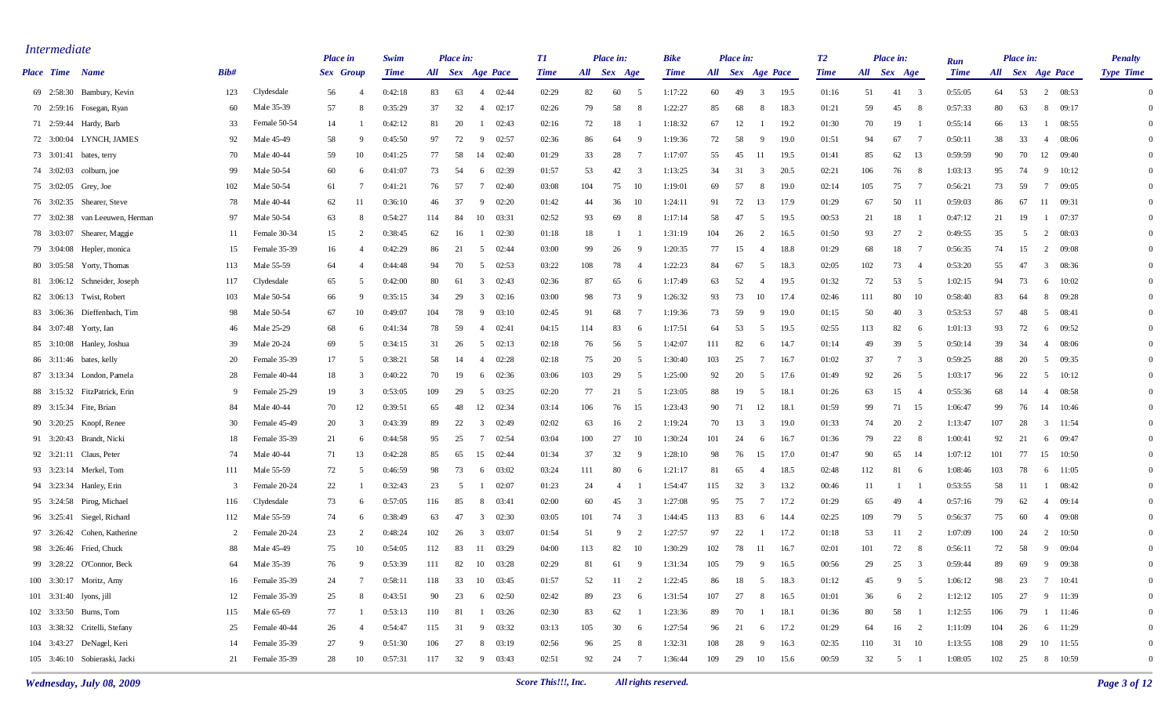| <i>Intermediate</i> |                                |                |              | <b>Place</b> in |                | Swim        |     | Place in: |                                  | <i>T1</i> |             | <b>Place in:</b> |                | <b>Bike</b> |     | Place in:        |              |       | T2          |             | Place in:                      |                |                    |     | Place in: |                         | <b>Penalty</b>   |
|---------------------|--------------------------------|----------------|--------------|-----------------|----------------|-------------|-----|-----------|----------------------------------|-----------|-------------|------------------|----------------|-------------|-----|------------------|--------------|-------|-------------|-------------|--------------------------------|----------------|--------------------|-----|-----------|-------------------------|------------------|
|                     | <b>Place Time</b> Name         | Bib#           |              | Sex Group       |                | <b>Time</b> |     |           | All Sex Age Pace                 | Time      | All Sex Age |                  |                | <b>Time</b> |     | All Sex Age Pace |              |       | <b>Time</b> | All Sex Age |                                |                | Run<br><b>Time</b> |     |           | All Sex Age Pace        | <b>Type Time</b> |
|                     | 69 2:58:30 Bambury, Kevin      | 123            | Clydesdale   | 56              | $\overline{4}$ | 0:42:18     | 83  | 63        | 02:44<br>4                       | 02:29     | 82          | 60               | - 5            | 1:17:22     | 60  | 49               | 3            | 19.5  | 01:16       | 51          | 41<br>$\overline{\phantom{a}}$ |                | 0:55:05            | 64  | 53        | 2<br>08:53              | $\Omega$         |
|                     | 70 2:59:16 Fosegan, Ryan       | 60             | Male 35-39   | 57              | -8             | 0:35:29     | 37  | 32        | 02:17<br>4                       | 02:26     | 79          | 58               | 8              | 1:22:27     | 85  | 68               | -8           | 18.3  | 01:21       | 59          | 45                             | - 8            | 0:57:33            | 80  | 63        | 8<br>09:17              | $\Omega$         |
|                     | 71 2:59:44 Hardy, Barb         | 33             | Female 50-54 | 14              |                | 0:42:12     | 81  | 20        | 02:43<br>-1                      | 02:16     | 72          | 18               |                | 1:18:32     | 67  | 12               |              | 19.2  | 01:30       | 70          | 19                             |                | 0:55:14            | 66  | 13        | 08:55<br>- 1            | $\Omega$         |
|                     | 72 3:00:04 LYNCH, JAMES        | 92             | Male 45-49   | 58              | - q            | 0:45:50     | 97  | 72        | -9<br>02:57                      | 02:36     | 86          | 64               | -9             | 1:19:36     | 72  | 58               | -9           | 19.0  | 01:51       | 94          | 67                             |                | 0:50:11            | 38  | 33        | 08:06<br>-4             | $\Omega$         |
|                     | 73 3:01:41 bates, terry        | 70             | Male 40-44   | 59              | 10             | 0:41:25     | 77  | 58        | 02:40<br>14                      | 01:29     | 33          | 28               | -7             | 1:17:07     | 55  | 45               | 11           | 19.5  | 01:41       | 85          | 62                             | -13            | 0:59:59            | 90  | 70        | 12<br>09:40             | $\Omega$         |
|                     | 74 3:02:03 colburn, joe        | 99             | Male 50-54   | 60              | -6             | 0:41:07     | 73  | 54        | 02:39<br>- 6                     | 01:57     | 53          | 42               | 3              | 1:13:25     | 34  | 31               | 3            | 20.5  | 02:21       | 106         | 76                             | - 8            | 1:03:13            | 95  | 74        | -9<br>10:12             | $\Omega$         |
|                     | 75 3:02:05 Grey, Joe           | 102            | Male 50-54   | 61              |                | 0:41:21     | 76  | 57        | 02:40<br>7                       | 03:08     | 104         | 75               | 10             | 1:19:01     | 69  | 57               | -8           | 19.0  | 02:14       | 105         | 75                             | - 7            | 0:56:21            | 73  | 59        | 7<br>09:05              | $\Omega$         |
|                     | 76 3:02:35 Shearer, Steve      | 78             | Male 40-44   | 62              | 11             | 0:36:10     | 46  | 37        | -9<br>02:20                      | 01:42     | 44          | 36               | -10            | 1:24:11     | 91  | 72               | 13           | 17.9  | 01:29       | 67          | 50                             | - 11           | 0:59:03            | 86  | 67        | 11<br>09:31             | $\Omega$         |
|                     | 77 3:02:38 van Leeuwen, Herman | 97             | Male 50-54   | 63              | -8             | 0:54:27     | 114 | 84        | 10<br>03:31                      | 02:52     | 93          | 69               | 8              | 1:17:14     | 58  | 47               | 5            | 19.5  | 00:53       | 21          | 18                             |                | 0:47:12            | 21  | -19       | 07:37<br>- 1            | $\Omega$         |
|                     | 78 3:03:07 Shearer, Maggie     | 11             | Female 30-34 | 15              | $\mathcal{D}$  | 0:38:45     | 62  | 16        | 02:30<br>- 1                     | 01:18     | 18          |                  |                | 1:31:19     | 104 | 26               | 2            | 16.5  | 01:50       | 93          | 27                             | 2              | 0:49:55            | 35  | -5        | $\overline{2}$<br>08:03 | $\Omega$         |
|                     | 79 3:04:08 Hepler, monica      | 15             | Female 35-39 | 16              | $\overline{4}$ | 0:42:29     | 86  | 21        | 5<br>02:44                       | 03:00     | 99          | 26               | -9             | 1:20:35     | 77  | 15               | -4           | 18.8  | 01:29       | 68          | 18                             |                | 0:56:35            | 74  | 15        | 2<br>09:08              | $\Omega$         |
|                     | 80 3:05:58 Yorty, Thomas       | 113            | Male 55-59   | 64              |                | 0:44:48     | 94  | 70        | 5<br>02:53                       | 03:22     | 108         | 78               | $\overline{4}$ | 1:22:23     | 84  | 67               | -5           | 18.3  | 02:05       | 102         | 73                             |                | 0:53:20            | 55  | 47        | $\overline{3}$<br>08:36 | $\Omega$         |
|                     | 81 3:06:12 Schneider, Joseph   | 117            | Clydesdale   | 65              | -5             | 0:42:00     | 80  | 61        | $\overline{\mathbf{3}}$<br>02:43 | 02:36     | 87          | 65               | -6             | 1:17:49     | 63  | 52               | -4           | 19.5  | 01:32       | 72          | 53                             | 5              | 1:02:15            | 94  | 73        | 10:02<br>6              | $\Omega$         |
|                     | 82 3:06:13 Twist, Robert       | 103            | Male 50-54   | 66              | - 9            | 0:35:15     | 34  | 29        | 02:16<br>3                       | 03:00     | 98          | 73               | -9             | 1:26:32     | 93  | 73               | 10           | 17.4  | 02:46       | 111         | 80                             | - 10           | 0:58:40            | 83  | 64        | 8<br>09:28              | $\Omega$         |
|                     | 83 3:06:36 Dieffenbach, Tim    | 98             | Male 50-54   | 67              | 10             | 0:49:07     | 104 | 78        | -9<br>03:10                      | 02:45     | 91          | 68               | -7             | 1:19:36     | 73  | 59               | -9           | 19.0  | 01:15       | 50          | 40                             |                | 0:53:53            | 57  | 48        | 5<br>08:41              | $\Omega$         |
|                     | 84 3:07:48 Yorty, Ian          | 46             | Male 25-29   | 68              | -6             | 0:41:34     | 78  | 59        | 02:41<br>4                       | 04:15     | 114         | 83               | -6             | 1:17:51     | 64  | 53               | -5           | 19.5  | 02:55       | 113         | 82                             | -6             | 1:01:13            | 93  | 72        | 09:52<br>6              | $\Omega$         |
|                     | 85 3:10:08 Hanley, Joshua      | 39             | Male 20-24   | 69              | -5             | 0:34:15     | 31  | 26        | 02:13<br>5                       | 02:18     | 76          | 56               | 5              | 1:42:07     | 111 | 82               | -6           | 14.7  | 01:14       | 49          | 39                             | 5              | 0:50:14            | 39  | 34        | 08:06<br>-4             | $\Omega$         |
|                     | 86 3:11:46 bates, kelly        | 20             | Female 35-39 | 17              | -5             | 0:38:21     | 58  | 14        | 02:28<br>4                       | 02:18     | 75          | 20               | -5             | 1:30:40     | 103 | 25               | -7           | -16.7 | 01:02       | 37          | 7                              | - 3            | 0:59:25            | 88  | 20        | 5<br>09:35              | $\Omega$         |
|                     | 87 3:13:34 London, Pamela      | 28             | Female 40-44 | 18              | -3             | 0:40:22     | 70  | 19        | 02:36<br>- 6                     | 03:06     | 103         | 29               | -5             | 1:25:00     | 92  | 20               | -5           | 17.6  | 01:49       | 92          | 26                             | - 5            | 1:03:17            | 96  | 22        | 5<br>10:12              | $\Omega$         |
|                     | 88 3:15:32 FitzPatrick, Erin   | 9              | Female 25-29 | 19              | -3             | 0:53:05     | 109 | 29        | 03:25<br>5                       | 02:20     | 77          | 21               | -5             | 1:23:05     | 88  | 19               | -5           | 18.1  | 01:26       | 63          | 15                             |                | 0:55:36            | 68  | 14        | 08:58<br>-4             | $\Omega$         |
|                     | 89 3:15:34 Fite, Brian         | 84             | Male 40-44   | 70              | 12             | 0:39:51     | 65  | 48        | 12<br>02:34                      | 03:14     | 106         | 76               | 15             | 1:23:43     | 90  | 71               | 12           | 18.1  | 01:59       | 99          | 71                             | - 15           | 1:06:47            | 99  | 76        | 14<br>10:46             | $\Omega$         |
|                     | 90 3:20:25 Knopf, Renee        | 30             | Female 45-49 | 20              | -3             | 0:43:39     | 89  | 22        | 3<br>02:49                       | 02:02     | 63          | 16               | 2              | 1:19:24     | 70  | 13               | 3            | 19.0  | 01:33       | 74          | 20                             | - 2            | 1:13:47            | 107 | 28        | $\overline{3}$<br>11:54 | $\Omega$         |
|                     | 91 3:20:43 Brandt, Nicki       | 18             | Female 35-39 | 21              | -6             | 0:44:58     | 95  | 25        | 02:54<br>7                       | 03:04     | 100         | 27               | 10             | 1:30:24     | 101 | 24               | 6            | 16.7  | 01:36       | 79          | 22                             | - 8            | 1:00:41            | 92  | 21        | 6 09:47                 | $\Omega$         |
|                     | 92 3:21:11 Claus, Peter        | 74             | Male 40-44   | 71              | 13             | 0:42:28     | 85  | 65        | 15<br>02:44                      | 01:34     | 37          | 32               | - 9            | 1:28:10     | 98  | 76               | 15           | 17.0  | 01:47       | 90          | 65                             | - 14           | 1:07:12            | 101 | 77        | 15<br>10:50             | $\Omega$         |
|                     | 93 3:23:14 Merkel, Tom         | 111            | Male 55-59   | 72              | -5             | 0:46:59     | 98  | 73        | 03:02<br>-6                      | 03:24     | 111         | 80               | -6             | 1:21:17     | -81 | 65               | -4           | 18.5  | 02:48       | 112         | 81                             | - 6            | 1:08:46            | 103 | 78        | 6<br>11:05              | $\Omega$         |
|                     | 94 3:23:34 Hanley, Erin        | 3              | Female 20-24 | 22              |                | 0:32:43     | 23  | -5        | 02:07                            | 01:23     | 24          | -4               |                | 1:54:47     | 115 | 32               | 3            | 13.2  | 00:46       | 11          |                                |                | 0:53:55            | 58  | -11       | 08:42<br>- 1            | $\Omega$         |
|                     | 95 3:24:58 Pirog, Michael      | 116            | Clydesdale   | 73              | -6             | 0:57:05     | 116 | 85        | 03:41<br>-8                      | 02:00     | 60          | 45               | 3              | 1:27:08     | 95  | 75               | 7            | 17.2  | 01:29       | 65          | 49                             |                | 0:57:16            | 79  | 62        | 09:14<br>4              | $\Omega$         |
|                     | 96 3:25:41 Siegel, Richard     | 112            | Male 55-59   | 74              | -6             | 0:38:49     | 63  | 47        | $\overline{3}$<br>02:30          | 03:05     | 101         | 74               | 3              | 1:44:45     | 113 | 83               | -6           | 14.4  | 02:25       | 109         | 79                             | - 5            | 0:56:37            | 75  | 60        | 09:08<br>-4             | $\Omega$         |
|                     | 97 3:26:42 Cohen, Katherine    | $\overline{c}$ | Female 20-24 | 23              | -2             | 0:48:24     | 102 | 26        | $\overline{\mathbf{3}}$<br>03:07 | 01:54     | 51          | 9                | 2              | 1:27:57     | 97  | 22               | -1           | 17.2  | 01:18       | 53          | 11                             | 2              | 1:07:09            | 100 | 24        | 2<br>10:50              | $\Omega$         |
|                     | 98 3:26:46 Fried, Chuck        | 88             | Male 45-49   | 75              | 10             | 0:54:05     | 112 | 83        | 03:29<br>-11                     | 04:00     | 113         | 82               | 10             | 1:30:29     | 102 | 78               | 11           | 16.7  | 02:01       | 101         | 72                             | - 8            | 0:56:11            | 72  | 58        | - 9<br>09:04            | $\Omega$         |
|                     | 99 3:28:22 O'Connor, Beck      | 64             | Male 35-39   | 76              | $\mathbf{Q}$   | 0:53:39     | 111 | 82        | 10<br>03:28                      | 02:29     | 81          | 61               | -9             | 1:31:34     | 105 | 79               | $\mathbf{Q}$ | 16.5  | 00:56       | 29          | 25                             | $\mathcal{R}$  | 0:59:44            | 89  | 69        | - 9<br>09:38            | $\Omega$         |
|                     | 100 3:30:17 Moritz, Amy        | 16             | Female 35-39 | 24              |                | 0:58:11     | 118 | 33        | 10<br>03:45                      | 01:57     | 52          | 11               | $\overline{c}$ | 1:22:45     | 86  | 18               | -5           | 18.3  | 01:12       | 45          | 9                              | - 5            | 1:06:12            | 98  | 23        | 7 10:41                 | $\Omega$         |
|                     | 101 3:31:40 lyons, jill        | 12             | Female 35-39 | 25              | -8             | 0:43:51     | 90  | 23        | 6 02:50                          | 02:42     | 89          | 23               | 6              | 1:31:54     | 107 | 27               | -8           | 16.5  | 01:01       | 36          | 6                              | $\overline{2}$ | 1:12:12            | 105 | 27        | 9 11:39                 |                  |
|                     | 102 3:33:50 Burns, Tom         | 115            | Male 65-69   | 77              |                | 0:53:13     | 110 | 81        | 1 03:26                          | 02:30     | 83          | 62               | - 1            | 1:23:36     | 89  | 70               | $\mathbf{1}$ | 18.1  | 01:36       | 80          | 58                             |                | 1:12:55            | 106 | 79        | 1 11:46                 |                  |
|                     | 103 3:38:32 Critelli, Stefany  | 25             | Female 40-44 | 26              | $\overline{4}$ | 0:54:47     | 115 | 31        | 9 03:32                          | 03:13     | 105         | 30               | 6              | 1:27:54     | 96  | 21               | 6            | 17.2  | 01:29       | 64          | 16 2                           |                | 1:11:09            | 104 | 26        | 6 11:29                 |                  |
|                     | 104 3:43:27 DeNagel, Keri      | 14             | Female 35-39 | 27              | - 9            | 0:51:30     | 106 | 27        | 8 03:19                          | 02:56     | 96          | 25               | 8              | 1:32:31     | 108 | 28               | 9            | 16.3  | 02:35       | 110         | 31 10                          |                | 1:13:55            | 108 | 29        | 10 11:55                |                  |
|                     | 105 3:46:10 Sobieraski, Jacki  | 21             | Female 35-39 | 28              | 10             | 0:57:31     | 117 |           | 32 9 03:43                       | 02:51     | 92          | 24               | $\overline{7}$ | 1:36:44     | 109 | 29               | 10 15.6      |       | 00:59       | 32          | $5 \quad 1$                    |                | 1:08:05            | 102 | 25        | 8 10:59                 | $\mathbf{0}$     |
|                     |                                |                |              |                 |                |             |     |           |                                  |           |             |                  |                |             |     |                  |              |       |             |             |                                |                |                    |     |           |                         |                  |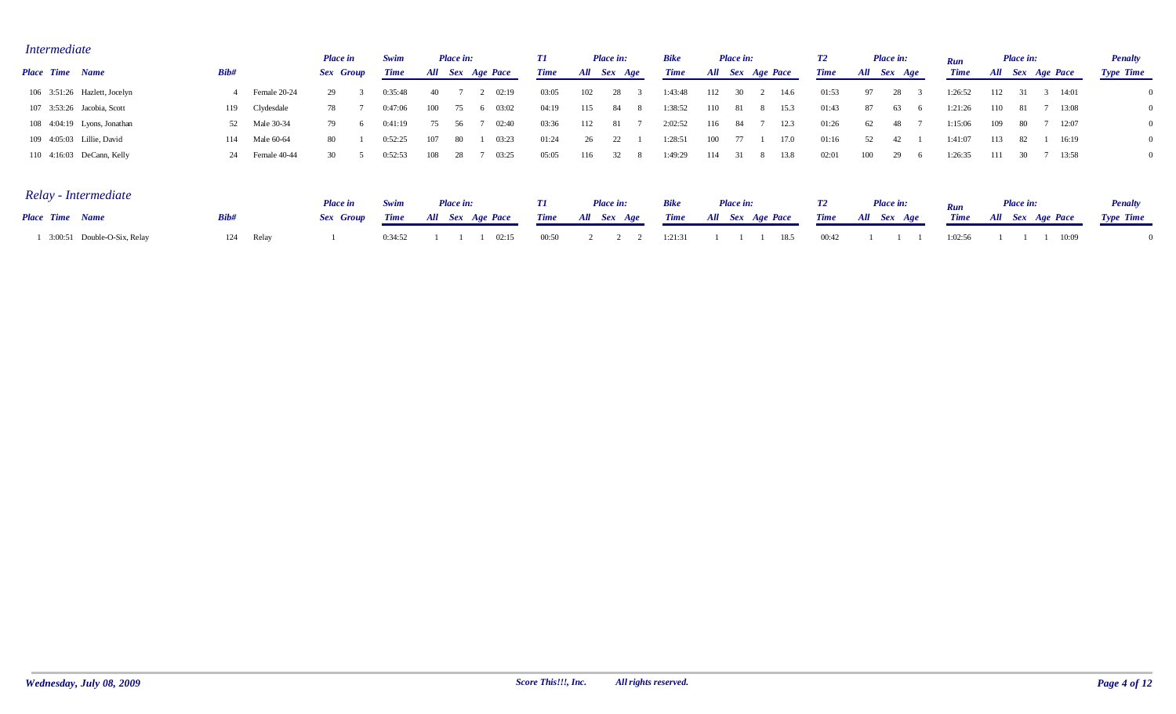| <i>Intermediate</i> |                              |      |              | <b>Place in</b> | Swim        |      | <b>Place in:</b> |                  |             |     | <b>Place in:</b> | <b>Bike</b> |     | Place in:        |      | T2          |             | Place in: | Run         |      | <b>Place in:</b> |                  |       | <b>Penalty</b>   |  |
|---------------------|------------------------------|------|--------------|-----------------|-------------|------|------------------|------------------|-------------|-----|------------------|-------------|-----|------------------|------|-------------|-------------|-----------|-------------|------|------------------|------------------|-------|------------------|--|
| Place Time Name     |                              | Bib# |              | Sex Group       | <b>Time</b> |      |                  | All Sex Age Pace | <b>Time</b> | All | Sex Age          | <b>Time</b> |     | All Sex Age Pace |      | <b>Time</b> | All Sex Age |           | <b>Time</b> |      |                  | All Sex Age Pace |       | <b>Type Time</b> |  |
|                     | 106 3:51:26 Hazlett, Jocelyn |      | Female 20-24 | 29              | :35:48      |      |                  | 02:19            | 03:05       | 102 |                  | 1:43:48     | 112 |                  | 14.6 | 01:53       |             |           | :26:52      | 112  |                  | 3 14:01          |       |                  |  |
|                     | 107 3:53:26 Jacobia, Scott   | 119  | Clydesdale   | 78.             | 0:47:06     | 100  |                  | 03:02            | 04:19       | 115 | 84               | 1:38:52     | 110 |                  | 15.3 | 01:43       |             | O.S.      | :21:26      | 110- |                  |                  | 13:08 |                  |  |
|                     | 108 4:04:19 Lyons, Jonathan  | 52   | Male 30-34   | 79.             | 0:41:19     |      |                  | 02:40            | 03:36       | 112 |                  | 2:02:52     | 116 |                  | 12.3 | 01:26       |             | 48.       | 1:15:06     | 109  |                  |                  | 12:07 |                  |  |
|                     | 109 4:05:03 Lillie, David    | 114  | Male 60-64   | 80              | 0:52:25     | 107  | -80              | 03:23            | 01:24       | 26  |                  | 1:28:51     | 100 |                  | 17.0 | 01:16       |             |           | 1:41:07     | 113  |                  |                  | 16:19 |                  |  |
|                     | 110 4:16:03 DeCann, Kelly    | 24   | Female 40-44 | 30              | 0:52:53     | 108. |                  | 03:25            | 05:05       | 116 |                  | 1:49:29     | 114 |                  | 13.8 | 02:01       | 100         | 29        | :26:35      | 111  |                  |                  | 13:58 |                  |  |

| Relay - Intermediate        |       | <b>Place</b> in | Swim    | Place in: | Place in:                 | <b>Bike</b> | <b>Place in:</b>                                                                                              | <b>T2</b> | Place in: | Run     | Place in: | <b>Penalty</b>   |
|-----------------------------|-------|-----------------|---------|-----------|---------------------------|-------------|---------------------------------------------------------------------------------------------------------------|-----------|-----------|---------|-----------|------------------|
| <b>Place Time Name</b>      | Bib#  |                 |         |           |                           |             | Sex Group Time All Sex Age Pace Time All Sex Age Time All Sex Age Pace Time All Sex Age Time All Sex Age Pace |           |           |         |           | <b>Type Time</b> |
| 3:00:51 Double-O-Six, Relay | Relay |                 | 0:34:52 | 02:15     | $00:50$ 2 2 2 1:21:31 1 1 |             | 1 18.5                                                                                                        | 00:42     |           | 1.02.56 | 10:09     |                  |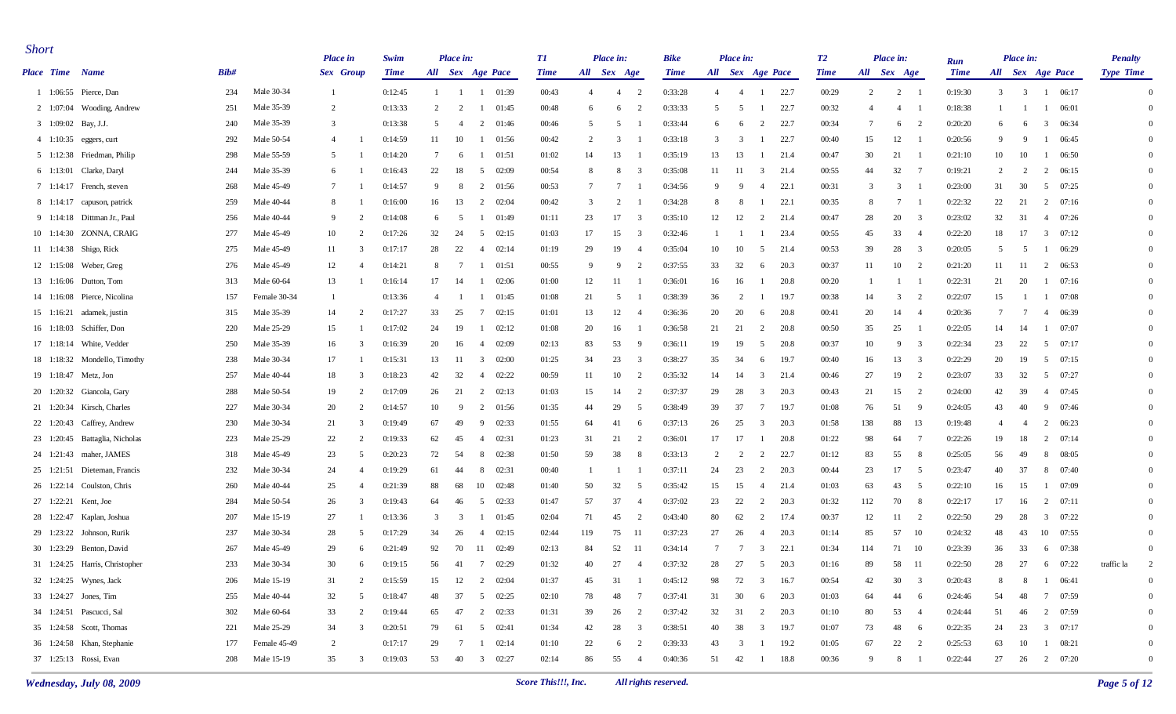| <b>Short</b>           |                                   |      |              | <b>Place</b> in  |                         | Swim        |                 | Place in:       |                          | T1          |                | Place in:      |                         | Bike        |                | Place in:               |                  |      | T2          |                 | Place in:      |                          | Run         |                 | Place in:      |                                  | <b>Penalty</b>   |                |
|------------------------|-----------------------------------|------|--------------|------------------|-------------------------|-------------|-----------------|-----------------|--------------------------|-------------|----------------|----------------|-------------------------|-------------|----------------|-------------------------|------------------|------|-------------|-----------------|----------------|--------------------------|-------------|-----------------|----------------|----------------------------------|------------------|----------------|
| <b>Place Time</b> Name |                                   | Bib# |              | <b>Sex</b> Group |                         | <b>Time</b> |                 |                 | All Sex Age Pace         | <b>Time</b> | All Sex Age    |                |                         | <b>Time</b> |                |                         | All Sex Age Pace |      | <b>Time</b> | All Sex Age     |                |                          | <b>Time</b> |                 |                | All Sex Age Pace                 | <b>Type Time</b> |                |
|                        | 1 1:06:55 Pierce, Dan             | 234  | Male 30-34   | - 1              |                         | 0:12:45     | 1               | - 1             | 01:39<br>-1              | 00:43       | $\overline{4}$ | $\overline{4}$ | $\overline{2}$          | 0:33:28     | $\overline{4}$ | $\overline{4}$          |                  | 22.7 | 00:29       | 2               | 2              |                          | 0:19:30     | $\overline{3}$  | $\overline{3}$ | 06:17<br>-1                      |                  | $\Omega$       |
|                        | $2 \quad 1:07:04$ Wooding, Andrew | 251  | Male 35-39   | 2                |                         | 0:13:33     | 2               | 2               | 01:45<br>-1              | 00:48       | 6              | 6              | $\overline{2}$          | 0:33:33     | 5              | 5                       | -1               | 22.7 | 00:32       | $\overline{4}$  | $\overline{4}$ |                          | 0:18:38     | -1              |                | 06:01<br>-1                      |                  | $\Omega$       |
|                        | 3 1:09:02 Bay, J.J.               | 240  | Male 35-39   | 3                |                         | 0:13:38     | 5               | 4               | 2<br>01:46               | 00:46       | 5              | 5              |                         | 0:33:44     | 6              | - 6                     | 2                | 22.7 | 00:34       | $7\phantom{.0}$ | 6              | $\overline{\phantom{a}}$ | 0:20:20     | 6               | -6             | $\overline{\mathbf{3}}$<br>06:34 |                  | $\Omega$       |
|                        | 4 1:10:35 eggers, curt            | 292  | Male 50-54   | 4                |                         | 0:14:59     | 11              | 10              | 01:56<br>-1              | 00:42       | 2              | 3              |                         | 0:33:18     | 3              | 3                       |                  | 22.7 | 00:40       | 15              | 12             |                          | 0:20:56     | 9               | -9             | 06:45<br>-1                      |                  | $\Omega$       |
|                        | 5 1:12:38 Friedman, Philip        | 298  | Male 55-59   | -5               |                         | 0:14:20     | $7\phantom{.0}$ | 6               | 01:51<br>-1              | 01:02       | 14             | 13             |                         | 0:35:19     | 13             | 13                      |                  | 21.4 | 00:47       | 30              | 21             |                          | 0:21:10     | 10              | 10             | 06:50<br>-1                      |                  | $\Omega$       |
|                        | 6 1:13:01 Clarke, Daryl           | 244  | Male 35-39   | 6                |                         | 0:16:43     | 22              | 18              | 5<br>02:09               | 00:54       | 8              | 8              | - 3                     | 0:35:08     | 11             | -11                     | 21.4<br>3        |      | 00:55       | 44              | 32             | $\overline{7}$           | 0:19:21     | 2               | 2              | 2<br>06:15                       |                  | $\Omega$       |
|                        | 7 1:14:17 French, steven          | 268  | Male 45-49   | $\overline{7}$   |                         | 0:14:57     | 9               | -8              | $\overline{2}$<br>01:56  | 00:53       | 7              | -7             |                         | 0:34:56     | 9              | - 9                     | 4                | 22.1 | 00:31       | $\overline{3}$  | 3              |                          | 0:23:00     | 31              | 30             | 5 07:25                          |                  | $\overline{0}$ |
|                        | 8 1:14:17 capuson, patrick        | 259  | Male 40-44   | 8                |                         | 0:16:00     | 16              | 13              | $\overline{2}$<br>02:04  | 00:42       | 3              | 2              |                         | 0:34:28     | 8              | -8                      |                  | 22.1 | 00:35       | -8              | 7              |                          | 0:22:32     | 22              | 21             | 2 07:16                          |                  | $\Omega$       |
|                        | 9 1:14:18 Dittman Jr., Paul       | 256  | Male 40-44   | -9               | $\overline{2}$          | 0:14:08     | 6               | -5              | 01:49<br>- 1             | 01:11       | 23             | 17             | $\overline{\mathbf{3}}$ | 0:35:10     | 12             | 12                      | $\overline{2}$   | 21.4 | 00:47       | 28              | 20             | $\overline{\mathbf{3}}$  | 0:23:02     | 32              | 31             | 4 07:26                          |                  | $\Omega$       |
|                        | 10 1:14:30 ZONNA, CRAIG           | 277  | Male 45-49   | 10               | $\mathcal{D}$           | 0:17:26     | 32              | 24              | 5<br>02:15               | 01:03       | 17             | 15             | - 3                     | 0:32:46     | -1             |                         |                  | 23.4 | 00:55       | 45              | 33             | $\overline{4}$           | 0:22:20     | 18              | 17             | $3 \quad 07:12$                  |                  | $\Omega$       |
|                        | 11 1:14:38 Shigo, Rick            | 275  | Male 45-49   | 11               | 3                       | 0:17:17     | 28              | 22              | 02:14<br>4               | 01:19       | 29             | 19             | $\overline{4}$          | 0:35:04     | 10             | 10                      | 5                | 21.4 | 00:53       | 39              | 28             | $\overline{\mathbf{3}}$  | 0:20:05     | 5               | -5             | $1 \t 06:29$                     |                  | $\overline{0}$ |
|                        | 12 1:15:08 Weber, Greg            | 276  | Male 45-49   | 12               | $\overline{4}$          | 0:14:21     | 8               | 7               | 01:51<br>-1              | 00:55       | 9              | 9              | $\overline{2}$          | 0:37:55     | 33             | 32                      | 6                | 20.3 | 00:37       | 11              | 10             | 2                        | 0:21:20     | 11              | 11             | 2 06:53                          |                  | $\Omega$       |
|                        | 13 1:16:06 Dutton, Tom            | 313  | Male 60-64   | 13               |                         | 0:16:14     | 17              | 14              | 02:06<br>-1              | 01:00       | 12             | 11             |                         | 0:36:01     | 16             | 16                      |                  | 20.8 | 00:20       |                 |                |                          | 0:22:31     | 21              | 20             | 07:16<br>$\mathbf{1}$            |                  | $\Omega$       |
|                        | 14 1:16:08 Pierce, Nicolina       | 157  | Female 30-34 | -1               |                         | 0:13:36     | 4               | -1              | 01:45<br>-1              | 01:08       | 21             | -5             |                         | 0:38:39     | 36             | $\overline{2}$          |                  | 19.7 | 00:38       | 14              | 3              | 2                        | 0:22:07     | 15              |                | 07:08<br>- 1                     |                  | $\Omega$       |
|                        | 15 1:16:21 adamek, justin         | 315  | Male 35-39   | 14               | $\overline{2}$          | 0:17:27     | 33              | 25              | $7\phantom{.0}$<br>02:15 | 01:01       | 13             | 12             | -4                      | 0:36:36     | 20             | 20                      | 6                | 20.8 | 00:41       | 20              | 14             | - 4                      | 0:20:36     | $7\phantom{.0}$ | 7              | 4 06:39                          |                  | $\overline{0}$ |
|                        | 16 1:18:03 Schiffer, Don          | 220  | Male 25-29   | 15               |                         | 0:17:02     | 24              | 19              | 02:12<br>-1              | 01:08       | 20             | 16             |                         | 0:36:58     | 21             | 21                      | 2                | 20.8 | 00:50       | 35              | 25             |                          | 0:22:05     | 14              | 14             | 07:07<br>-1                      |                  | $\Omega$       |
|                        | 17 1:18:14 White, Vedder          | 250  | Male 35-39   | 16               | 3                       | 0:16:39     | 20              | 16              | 02:09<br>4               | 02:13       | 83             | 53             | - 9                     | 0:36:11     | 19             | 19                      | -5               | 20.8 | 00:37       | 10              | 9              | 3                        | 0:22:34     | 23              | 22             | 5<br>07:17                       |                  | $\Omega$       |
|                        | 18 1:18:32 Mondello, Timothy      | 238  | Male 30-34   | 17               |                         | 0:15:31     | 13              | -11             | $\overline{3}$<br>02:00  | 01:25       | 34             | 23             | 3                       | 0:38:27     | 35             | 34                      | 6                | 19.7 | 00:40       | 16              | 13             | 3                        | 0:22:29     | 20              | 19             | 5<br>07:15                       |                  | $\Omega$       |
|                        | 19 1:18:47 Metz, Jon              | 257  | Male 40-44   | 18               | 3                       | 0:18:23     | 42              | 32              | 02:22<br>4               | 00:59       | 11             | 10             | $\overline{2}$          | 0:35:32     | 14             | 14                      | 3                | 21.4 | 00:46       | 27              | 19             | $\overline{\phantom{a}}$ | 0:23:07     | 33              | 32             | 5 07:27                          |                  | $\Omega$       |
|                        | 20 1:20:32 Giancola, Gary         | 288  | Male 50-54   | 19               | 2                       | 0:17:09     | 26              | 21              | 2<br>02:13               | 01:03       | 15             | 14             | $\overline{2}$          | 0:37:37     | 29             | 28                      | 3                | 20.3 | 00:43       | 21              | 15             | <sup>2</sup>             | 0:24:00     | 42              | 39             | 07:45<br>-4                      |                  | $\Omega$       |
|                        | 21 1:20:34 Kirsch, Charles        | 227  | Male 30-34   | 20               | $\mathcal{D}$           | 0:14:57     | 10              | -9              | 2<br>01:56               | 01:35       | 44             | 29             | -5                      | 0:38:49     | 39             | 37                      | 7                | 19.7 | 01:08       | 76              | 51             | - 9                      | 0:24:05     | 43              | 40             | 07:46<br>-9                      |                  | $\overline{0}$ |
|                        | 22 1:20:43 Caffrey, Andrew        | 230  | Male 30-34   | 21               | -3                      | 0:19:49     | 67              | 49              | -9<br>02:33              | 01:55       | 64             | 41             | -6                      | 0:37:13     | 26             | 25                      | 3                | 20.3 | 01:58       | 138             | 88             | 13                       | 0:19:48     | $\overline{4}$  | -4             | $\overline{2}$<br>06:23          |                  | $\Omega$       |
|                        | 23 1:20:45 Battaglia, Nicholas    | 223  | Male 25-29   | 22               | $\mathcal{D}$           | 0:19:33     | 62              | 45              | 02:31<br>4               | 01:23       | 31             | 21             | 2                       | 0:36:01     | 17             | 17                      | - 1              | 20.8 | 01:22       | 98              | 64             | - 7                      | 0:22:26     | 19              | 18             | $2 \t 07:14$                     |                  | $\overline{0}$ |
|                        | 24 1:21:43 maher, JAMES           | 318  | Male 45-49   | 23               | -5                      | 0:20:23     | 72              | 54              | 8<br>02:38               | 01:50       | 59             | 38             | -8                      | 0:33:13     | 2              | 2                       | 2                | 22.7 | 01:12       | 83              | 55             | - 8                      | 0:25:05     | 56              | 49             | - 8<br>08:05                     |                  | $\Omega$       |
|                        | 25 1:21:51 Dieteman, Francis      | 232  | Male 30-34   | 24               | $\overline{4}$          | 0:19:29     | 61              | -44             | - 8<br>02:31             | 00:40       | -1             |                |                         | 0:37:11     | 24             | 23                      | 2                | 20.3 | 00:44       | 23              | 17             | - 5                      | 0:23:47     | 40              | 37             | - 8<br>07:40                     |                  | $\overline{0}$ |
|                        | 26 1:22:14 Coulston, Chris        | 260  | Male 40-44   | 25               | $\overline{4}$          | 0:21:39     | 88              | 68              | 10<br>02:48              | 01:40       | 50             | 32             | -5                      | 0:35:42     | 15             | 15                      | $\overline{4}$   | 21.4 | 01:03       | 63              | 43             | 5                        | 0:22:10     | 16              | 15             | 07:09<br>-1                      |                  | $\Omega$       |
|                        | 27 1:22:21 Kent, Joe              | 284  | Male 50-54   | 26               | -3                      | 0:19:43     | 64              | 46              | 5<br>02:33               | 01:47       | 57             | 37             | $\overline{4}$          | 0:37:02     | 23             | 22                      | 2                | 20.3 | 01:32       | 112             | 70             | - 8                      | 0:22:17     | 17              | 16             | $2 \t 07:11$                     |                  | $\Omega$       |
|                        | 28 1:22:47 Kaplan, Joshua         | 207  | Male 15-19   | 27               |                         | 0:13:36     | $\mathbf{3}$    | 3               | 01:45<br>-1              | 02:04       | 71             | 45             | 2                       | 0:43:40     | 80             | 62                      | 2                | 17.4 | 00:37       | 12              | 11             | 2                        | 0:22:50     | 29              | 28             | 07:22<br>$\overline{3}$          |                  | $\Omega$       |
|                        | 29 1:23:22 Johnson, Rurik         | 237  | Male 30-34   | 28               | -5                      | 0:17:29     | 34              | 26              | 02:15<br>4               | 02:44       | 119            | 75             | -11                     | 0:37:23     | 27             | 26                      | 4                | 20.3 | 01:14       | 85              | 57             | - 10                     | 0:24:32     | 48              | 43             | 10<br>07:55                      |                  | $\Omega$       |
|                        | 30 1:23:29 Benton, David          | 267  | Male 45-49   | 29               | 6                       | 0:21:49     | 92              | 70              | -11<br>02:49             | 02:13       | 84             | 52             | -11                     | 0:34:14     | $\overline{7}$ | -7                      | 3                | 22.1 | 01:34       | 114             | 71             | - 10                     | 0:23:39     | 36              | 33             | 07:38<br>- 6                     |                  | $\overline{0}$ |
|                        | 31 1:24:25 Harris, Christopher    | 233  | Male 30-34   | 30               | 6                       | 0:19:15     | 56              | 41              | 7 02:29                  | 01:32       | 40             | 27             | $\overline{4}$          | 0:37:32     | 28             | 27                      | 5                | 20.3 | 01:16       | 89              | 58             | -11                      | 0:22:50     | 28              | 27             | 6 07:22                          | traffic la       | $\overline{2}$ |
|                        | 32 1:24:25 Wynes, Jack            | 206  | Male 15-19   | 31               |                         | 0:15:59     | 15              | 12              | $2 \t 02:04$             | 01:37       | 45             | 31             |                         | 0:45:12     | 98             | 72                      | 3                | 16.7 | 00:54       | 42              | 30             | $\overline{\mathbf{3}}$  | 0:20:43     | 8               | 8              | $1 \t 06:41$                     |                  | $\Omega$       |
|                        | 33 1:24:27 Jones, Tim             | 255  | Male 40-44   | 32               | -5                      | 0:18:47     | 48              | 37              | 02:25<br>5               | 02:10       | 78             | 48             | - 7                     | 0:37:41     | 31             | 30                      | 6                | 20.3 | 01:03       | 64              | 44             | - 6                      | 0:24:46     | 54              | 48             | 7 07:59                          |                  | $\Omega$       |
|                        | 34 1:24:51 Pascucci, Sal          | 302  | Male 60-64   | 33               | $\overline{2}$          | 0:19:44     | 65              | 47              | 2 02:33                  | 01:31       | 39             | 26             | $\overline{2}$          | 0:37:42     | 32             | 31                      | 2                | 20.3 | 01:10       | 80              | 53             | $\overline{4}$           | 0:24:44     | 51              | 46             | 2 07:59                          |                  | $\Omega$       |
|                        | 35 1:24:58 Scott, Thomas          | 221  | Male 25-29   | 34               | 3                       | 0:20:51     | 79              | 61              | 5 02:41                  | 01:34       | 42             | 28             | $\overline{\mathbf{3}}$ | 0:38:51     | 40             | 38                      | $\mathbf{3}$     | 19.7 | 01:07       | 73              | 48             | 6                        | 0:22:35     | 24              | 23             | $3 \quad 07:17$                  |                  | $\Omega$       |
|                        | 36 1:24:58 Khan, Stephanie        | 177  | Female 45-49 | $\overline{2}$   |                         | 0:17:17     | 29              | $7\phantom{.0}$ | $1 \t 02:14$             | 01:10       | 22             | 6              | $\overline{c}$          | 0:39:33     | 43             | $\overline{\mathbf{3}}$ |                  | 19.2 | 01:05       | 67              | 22             | $\overline{\phantom{a}}$ | 0:25:53     | 63              | 10             | $1 \t 08:21$                     |                  | $\theta$       |
|                        | 37 1:25:13 Rossi, Evan            | 208  | Male 15-19   | 35               | $\overline{\mathbf{3}}$ | 0:19:03     | 53              | 40              | $3 \t 02:27$             | 02:14       | 86             | 55             | $\overline{4}$          | 0:40:36     | 51             | 42                      | $\mathbf{1}$     | 18.8 | 00:36       | 9               | 8              |                          | 0:22:44     | 27              | 26             | 2 07:20                          |                  | $\mathbf{0}$   |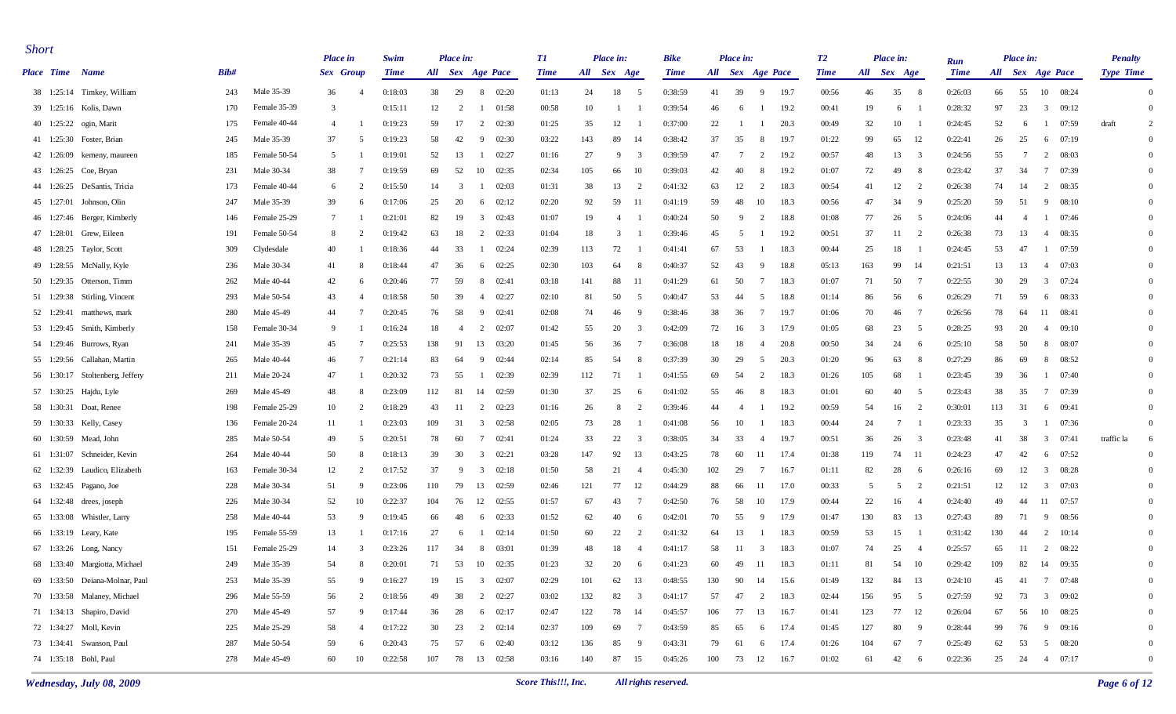| <b>Short</b>           |                                 |      |              | <b>Place</b> in                | Swim        |     | Place in:      |                                  | TI          |     | Place in:      |                         | <b>Bike</b> |     | Place in:      |                        | T2          |     | Place in:            | Run         |     | Place in: |                                  | <b>Penalty</b>   |                |
|------------------------|---------------------------------|------|--------------|--------------------------------|-------------|-----|----------------|----------------------------------|-------------|-----|----------------|-------------------------|-------------|-----|----------------|------------------------|-------------|-----|----------------------|-------------|-----|-----------|----------------------------------|------------------|----------------|
| <b>Place Time Name</b> |                                 | Bib# |              | Sex Group                      | <b>Time</b> |     |                | All Sex Age Pace                 | <b>Time</b> |     | All Sex Age    |                         | <b>Time</b> |     |                | All Sex Age Pace       | <b>Time</b> |     | All Sex Age          | <b>Time</b> |     |           | All Sex Age Pace                 | <b>Type Time</b> |                |
|                        | 38 1:25:14 Timkey, William      | 243  | Male 35-39   | 36<br>$\overline{4}$           | 0:18:03     | 38  | 29             | 8 02:20                          | 01:13       | 24  | 18             | $5\phantom{0}$          | 0:38:59     | 41  | 39             | 19.7<br>9              | 00:56       | 46  | 35<br>- 8            | 0:26:03     | 66  | 55        | 10 08:24                         |                  | $\Omega$       |
|                        | 39 1:25:16 Kolis, Dawn          | 170  | Female 35-39 | 3                              | 0:15:11     | 12  | 2              | 01:58<br>-1                      | 00:58       | 10  |                |                         | 0:39:54     | 46  | 6              | 19.2                   | 00:41       | 19  | 6                    | 0:28:32     | 97  | 23        | $\overline{3}$<br>09:12          |                  | $\overline{0}$ |
|                        | 40 1:25:22 ogin, Marit          | 175  | Female 40-44 | $\overline{4}$                 | 0:19:23     | 59  | 17             | 2<br>02:30                       | 01:25       | 35  | 12             |                         | 0:37:00     | 22  |                | 20.3                   | 00:49       | 32  | 10                   | 0:24:45     | 52  | -6        | 07:59                            | draft            | 2              |
|                        | 41 1:25:30 Foster, Brian        | 245  | Male 35-39   | 37<br>5                        | 0:19:23     | 58  | 42             | 9<br>02:30                       | 03:22       | 143 | 89             | 14                      | 0:38:42     | 37  | 35             | 19.7<br>-8             | 01:22       | 99  | 65<br>- 12           | 0:22:41     | 26  | 25        | 07:19<br>6                       |                  | $\Omega$       |
|                        | 42 1:26:09 kemeny, maureen      | 185  | Female 50-54 | 5                              | 0:19:01     | 52  | 13             | 02:27<br>-1                      | 01:16       | 27  | -9             | 3                       | 0:39:59     | 47  | - 7            | 19.2<br>2              | 00:57       | 48  | 13<br>3              | 0:24:56     | 55  | 7         | 08:03<br>2                       |                  | $\Omega$       |
|                        | 43 1:26:25 Coe, Bryan           | 231  | Male 30-34   | 38                             | 0:19:59     | 69  | 52             | 10<br>02:35                      | 02:34       | 105 | 66             | 10                      | 0:39:03     | 42  | 40             | 19.2<br>-8             | 01:07       | 72  | 49<br>- 8            | 0:23:42     | 37  | 34        | 07:39<br>$7\phantom{.0}$         |                  | $\Omega$       |
|                        | 44 1:26:25 DeSantis, Tricia     | 173  | Female 40-44 | $\overline{2}$<br>6            | 0:15:50     | 14  | 3              | 02:03<br>-1                      | 01:31       | 38  | 13             | 2                       | 0:41:32     | 63  | 12             | 18.3<br>2              | 00:54       | 41  | 12<br>2              | 0:26:38     | 74  | -14       | 2<br>08:35                       |                  | $\Omega$       |
|                        | 45 1:27:01 Johnson, Olin        | 247  | Male 35-39   | 39<br>-6                       | 0:17:06     | 25  | 20             | 02:12<br>-6                      | 02:20       | 92  | 59             | -11                     | 0:41:19     | 59  | 48             | 10<br>18.3             | 00:56       | 47  | 34<br>- 9            | 0:25:20     | 59  | 51        | 08:10<br>9                       |                  | $\Omega$       |
|                        | 46 1:27:46 Berger, Kimberly     | 146  | Female 25-29 | $7\phantom{.0}$                | 0:21:01     | 82  | 19             | 02:43<br>$\overline{3}$          | 01:07       | 19  | $\overline{4}$ |                         | 0:40:24     | 50  | -9             | 18.8<br>2              | 01:08       | 77  | 26<br>- 5            | 0:24:06     | 44  | -4        | 07:46<br>$\mathbf{1}$            |                  | $\Omega$       |
|                        | 47 1:28:01 Grew, Eileen         | 191  | Female 50-54 | 8                              | 0:19:42     | 63  | 18             | 2<br>02:33                       | 01:04       | 18  | 3              |                         | 0:39:46     | 45  | -5             | 19.2                   | 00:51       | 37  | 11<br>- 2            | 0:26:38     | 73  | 13        | 08:35<br>4                       |                  | $\Omega$       |
|                        | 48 1:28:25 Taylor, Scott        | 309  | Clydesdale   | 40                             | 0:18:36     | 44  | 33             | 02:24<br>-1                      | 02:39       | 113 | 72             |                         | 0:41:41     | 67  | 53             | 18.3                   | 00:44       | 25  | 18                   | 0:24:45     | 53  | 47        | 07:59<br>-1                      |                  | $\Omega$       |
|                        | 49 1:28:55 McNally, Kyle        | 236  | Male 30-34   | 41<br>-8                       | 0:18:44     | 47  | 36             | 02:25<br>6                       | 02:30       | 103 | 64             | -8                      | 0:40:37     | 52  | 43             | 18.8<br>- 9            | 05:13       | 163 | 99<br>- 14           | 0:21:51     | 13  | 13        | 07:03<br>-4                      |                  | $\Omega$       |
|                        | 50 1:29:35 Otterson, Timm       | 262  | Male 40-44   | 42                             | 0:20:46     | 77  | 59             | 8<br>02:41                       | 03:18       | 141 | 88             | -11                     | 0:41:29     | 61  | 50             | 18.3<br>7              | 01:07       | 71  | 50<br>$\overline{7}$ | 0:22:55     | 30  | 29        | $3 \t 07:24$                     |                  | $\Omega$       |
|                        | 51 1:29:38 Stirling, Vincent    | 293  | Male 50-54   | 43<br>$\overline{\mathcal{L}}$ | 0:18:58     | 50  | 39             | 02:27<br>$\overline{4}$          | 02:10       | 81  | 50             | -5                      | 0:40:47     | 53  | 44             | 18.8<br>5              | 01:14       | 86  | 56<br>- 6            | 0:26:29     | 71  | 59        | 08:33<br>6                       |                  | $\Omega$       |
|                        | 52 1:29:41 matthews, mark       | 280  | Male 45-49   | 44<br>-7                       | 0:20:45     | 76  | 58             | -9<br>02:41                      | 02:08       | 74  | 46             | -9                      | 0:38:46     | 38  | 36             | 19.7<br>7              | 01:06       | 70  | 46<br>- 7            | 0:26:56     | 78  | 64        | 08:41<br>11                      |                  | $\Omega$       |
|                        | 53 1:29:45 Smith, Kimberly      | 158  | Female 30-34 | - 9                            | 0:16:24     | 18  | $\overline{4}$ | 2<br>02:07                       | 01:42       | 55  | 20             | 3                       | 0:42:09     | 72  | 16             | 17.9<br>3              | 01:05       | 68  | 23<br>- 5            | 0:28:25     | 93  | 20        | 09:10<br>$\overline{4}$          |                  | $\Omega$       |
|                        | 54 1:29:46 Burrows, Ryan        | 241  | Male 35-39   | 45                             | 0:25:53     | 138 | -91            | 13<br>03:20                      | 01:45       | 56  | 36             | -7                      | 0:36:08     | 18  | 18             | 20.8<br>$\overline{4}$ | 00:50       | 34  | 24<br>- 6            | 0:25:10     | 58  | 50        | 08:07<br>8                       |                  | $\Omega$       |
|                        | 55 1:29:56 Callahan, Martin     | 265  | Male 40-44   | 46<br>-7                       | 0:21:14     | 83  | 64             | 9<br>02:44                       | 02:14       | 85  | 54             | -8                      | 0:37:39     | 30  | 29             | 20.3<br>- 5            | 01:20       | 96  | 63<br>-8             | 0:27:29     | 86  | 69        | 8<br>08:52                       |                  | $\Omega$       |
|                        | 56 1:30:17 Stoltenberg, Jeffery | 211  | Male 20-24   | 47                             | 0:20:32     | 73  | 55             | 02:39<br>-1                      | 02:39       | 112 | 71             |                         | 0:41:55     | 69  | 54             | 18.3<br>2              | 01:26       | 105 | 68                   | 0:23:45     | 39  | 36        | 07:40<br>-1                      |                  | $\Omega$       |
|                        | 57 1:30:25 Hajdu, Lyle          | 269  | Male 45-49   | 48                             | 0:23:09     | 112 | -81            | 14<br>02:59                      | 01:30       | 37  | 25             | -6                      | 0:41:02     | 55  | 46             | 18.3<br>-8             | 01:01       | 60  | 40<br>- 5            | 0:23:43     | 38  | 35        | 7 07:39                          |                  | $\Omega$       |
|                        | 58 1:30:31 Doat, Renee          | 198  | Female 25-29 | 10<br>$\overline{2}$           | 0:18:29     | 43  | -11            | 02:23<br>2                       | 01:16       | 26  | 8              | $\overline{2}$          | 0:39:46     | 44  | $\overline{4}$ | 19.2                   | 00:59       | 54  | 16<br>$\overline{2}$ | 0:30:01     | 113 | 31        | 6 09:41                          |                  | $\Omega$       |
|                        | 59 1:30:33 Kelly, Casey         | 136  | Female 20-24 | -11                            | 0:23:03     | 109 | 31             | $\overline{3}$<br>02:58          | 02:05       | 73  | 28             |                         | 0:41:08     | 56  | 10             | 18.3                   | 00:44       | 24  | 7                    | 0:23:33     | 35  | 3         | 07:36<br>-1                      |                  | $\Omega$       |
|                        | 60 1:30:59 Mead, John           | 285  | Male 50-54   | 49<br>-5                       | 0:20:51     | 78  | 60             | 02:41<br>7                       | 01:24       | 33  | 22             | $\overline{3}$          | 0:38:05     | 34  | 33             | 19.7<br>-4             | 00:51       | 36  | 26<br>3              | 0:23:48     | 41  | 38        | $\overline{\mathbf{3}}$<br>07:41 | traffic la       | 6              |
|                        | 61 1:31:07 Schneider, Kevin     | 264  | Male 40-44   | 50<br>-8                       | 0:18:13     | 39  | 30             | 02:21<br>3                       | 03:28       | 147 | 92             | 13                      | 0:43:25     | 78  | 60             | 17.4<br>-11            | 01:38       | 119 | 74<br>- 11           | 0:24:23     | 47  | 42        | 07:52<br>6                       |                  | $\Omega$       |
|                        | 62 1:32:39 Laudico, Elizabeth   | 163  | Female 30-34 | 12                             | 0:17:52     | 37  | -9             | 02:18<br>3                       | 01:50       | 58  | 21             | $\overline{4}$          | 0:45:30     | 102 | 29             | 16.7<br>7              | 01:11       | 82  | 28<br>- 6            | 0:26:16     | 69  | 12        | 3 08:28                          |                  | $\Omega$       |
|                        | 63 1:32:45 Pagano, Joe          | 228  | Male 30-34   | 51<br>-9                       | 0:23:06     | 110 | 79             | 13<br>02:59                      | 02:46       | 121 | 77             | 12                      | 0:44:29     | 88  | 66             | 17.0<br>-11            | 00:33       | 5   | 5<br>- 2             | 0:21:51     | 12  | 12        | $\overline{3}$<br>07:03          |                  | $\Omega$       |
|                        | 64 1:32:48 drees, joseph        | 226  | Male 30-34   | 52<br>10                       | 0:22:37     | 104 | 76             | 12<br>02:55                      | 01:57       | 67  | 43             | -7                      | 0:42:50     | 76  | 58             | 10<br>17.9             | 00:44       | 22  | 16<br>-4             | 0:24:40     | 49  | 44        | 11<br>07:57                      |                  | $\Omega$       |
|                        | 65 1:33:08 Whistler, Larry      | 258  | Male 40-44   | 53<br>q                        | 0:19:45     | 66  | 48             | 02:33<br>6                       | 01:52       | 62  | 40             | -6                      | 0:42:01     | 70  | 55             | 17.9<br>- 9            | 01:47       | 130 | 83<br>-13            | 0:27:43     | 89  | 71        | 08:56<br>9                       |                  | $\Omega$       |
|                        | 66 1:33:19 Leary, Kate          | 195  | Female 55-59 | 13                             | 0:17:16     | 27  | -6             | 02:14<br>-1                      | 01:50       | 60  | 22             | $\overline{2}$          | 0:41:32     | 64  | 13             | 18.3                   | 00:59       | 53  | 15                   | 0:31:42     | 130 | -44       | 2<br>10:14                       |                  | $\Omega$       |
|                        | 67 1:33:26 Long, Nancy          | 151  | Female 25-29 | 14<br>3                        | 0:23:26     | 117 | 34             | 03:01<br>8                       | 01:39       | 48  | 18             | $\overline{4}$          | 0:41:17     | 58  | -11            | 18.3<br>3              | 01:07       | 74  | 25<br>-4             | 0:25:57     | 65  | 11        | 2 08:22                          |                  | $\Omega$       |
|                        | 68 1:33:40 Margiotta, Michael   | 249  | Male 35-39   | 54<br>$\mathbf{Q}$             | 0:20:01     | 71  |                | 53 10 02:35                      | 01:23       | 32  | 20             | $\epsilon$              | 0:41:23     | 60  | 49             | 11 18.3                | 01:11       | 81  | 54 10                | 0:29:42     | 109 |           | 82 14 09:35                      |                  | $\Omega$       |
|                        | 69 1:33:50 Deiana-Molnar, Paul  | 253  | Male 35-39   | 55<br>q                        | 0:16:27     | 19  | 15             | $\overline{\mathbf{3}}$<br>02:07 | 02:29       | 101 | 62             | 13                      | 0:48:55     | 130 | 90             | 14<br>15.6             | 01:49       | 132 | 84<br>13             | 0:24:10     | 45  | 41        | 7 07:48                          |                  |                |
|                        | 70 1:33:58 Malaney, Michael     | 296  | Male 55-59   | 56                             | 0:18:56     | 49  | 38             | 2 02:27                          | 03:02       | 132 | 82             | $\overline{\mathbf{3}}$ | 0:41:17     | 57  | 47             | 2<br>18.3              | 02:44       | 156 | 95 5                 | 0:27:59     | 92  | 73        | 3 09:02                          |                  |                |
|                        | 71 1:34:13 Shapiro, David       | 270  | Male 45-49   | 57<br>9                        | 0:17:44     | 36  | 28             | $6 \quad 02:17$                  | 02:47       | 122 | 78             | 14                      | 0:45:57     | 106 | 77             | 13<br>16.7             | 01:41       | 123 | 77 12                | 0:26:04     | 67  | 56        | 10 08:25                         |                  |                |
|                        | 72 1:34:27 Moll, Kevin          | 225  | Male 25-29   | 58<br>$\overline{4}$           | 0:17:22     | 30  | 23             | $2 \t 02:14$                     | 02:37       | 109 | 69             | $\overline{7}$          | 0:43:59     | 85  | 65             | 17.4<br>6              | 01:45       | 127 | 80<br>- 9            | 0:28:44     | 99  | 76        | 9 09:16                          |                  |                |
|                        | 73 1:34:41 Swanson, Paul        | 287  | Male 50-54   | 59<br>6                        | 0:20:43     | 75  | 57             | 6 02:40                          | 03:12       | 136 | 85             | - 9                     | 0:43:31     | 79  | 61             | 17.4<br>6              | 01:26       | 104 | 67<br>$\overline{7}$ | 0:25:49     | 62  | 53        | 5 08:20                          |                  |                |
|                        | 74 1:35:18 Bohl, Paul           | 278  | Male 45-49   | 60<br>10                       | 0:22:58     |     |                | 107 78 13 02:58                  | 03:16       | 140 | 87 15          |                         | 0:45:26     |     |                | 100 73 12 16.7         | 01:02       | 61  | 42 6                 | 0:22:36     | 25  |           | 24 4 07:17                       |                  | $\Omega$       |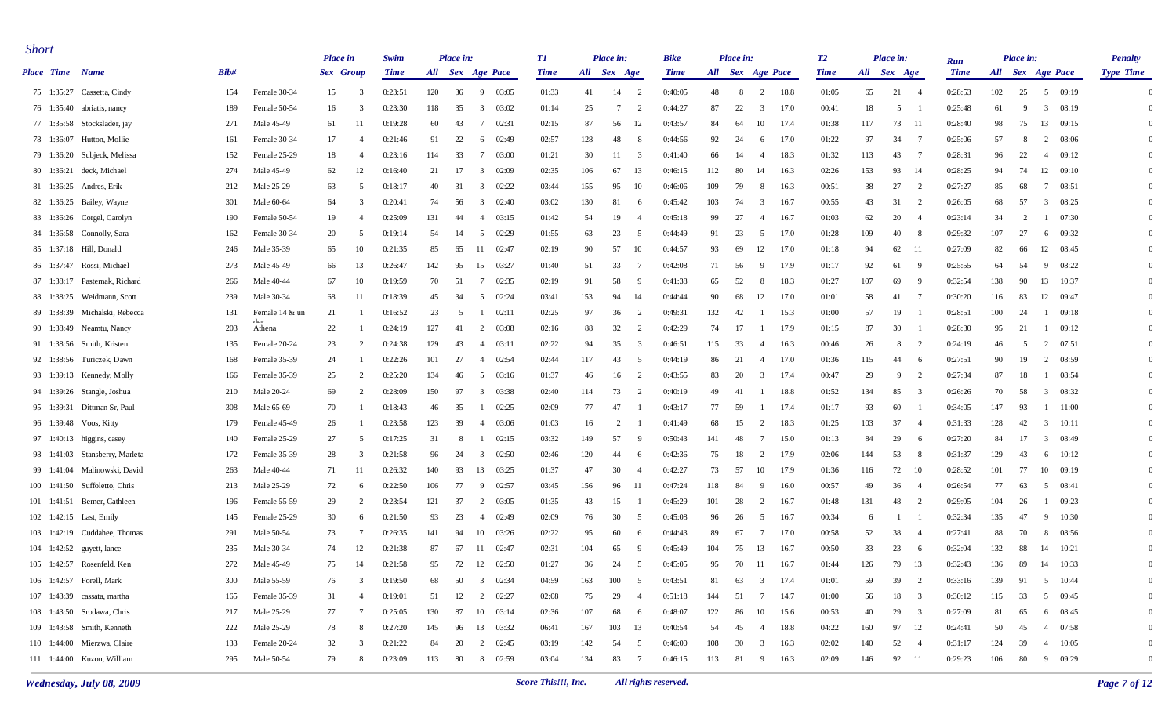| <b>Short</b>    |                                |         |                          | <b>Place</b> in |                | Swim        |     | Place in: |                                  | TI          |             | Place in: |                | Bike        |     | Place in: |                        | <b>T2</b>   |     | Place in:                     |                |                           |     | Place in: |                         | <b>Penalty</b> |
|-----------------|--------------------------------|---------|--------------------------|-----------------|----------------|-------------|-----|-----------|----------------------------------|-------------|-------------|-----------|----------------|-------------|-----|-----------|------------------------|-------------|-----|-------------------------------|----------------|---------------------------|-----|-----------|-------------------------|----------------|
| Place Time Name |                                | Bib#    |                          | Sex Group       |                | <b>Time</b> |     |           | All Sex Age Pace                 | <b>Time</b> | All Sex Age |           |                | <b>Time</b> |     |           | All Sex Age Pace       | <b>Time</b> |     | All Sex Age                   |                | <b>Run</b><br><b>Time</b> |     |           | All Sex Age Pace        | Type Time      |
|                 | 75 1:35:27 Cassetta, Cindy     | 154     | Female 30-34             | 15              | - 3            | 0:23:51     | 120 | 36        | 9 03:05                          | 01:33       | 41          | 14        | $\overline{2}$ | 0:40:05     | 48  | - 8       | $\overline{2}$<br>18.8 | 01:05       | 65  | 21<br>- 4                     |                | 0:28:53                   | 102 | 25        | 5 09:19                 | $\Omega$       |
|                 | 76 1:35:40 abriatis, nancy     | 189     | Female 50-54             | 16              | -3             | 0:23:30     | 118 | 35        | 03:02<br>3                       | 01:14       | 25          | 7         | 2              | 0:44:27     | 87  | 22        | 3<br>17.0              | 00:41       | 18  | 5                             |                | 0:25:48                   | 61  | -9        | $\overline{3}$<br>08:19 | $\Omega$       |
|                 | 77 1:35:58 Stockslader, jay    | 271     | Male 45-49               | 61              |                | 0:19:28     | 60  | 43        | 7<br>02:31                       | 02:15       | 87          | 56        | 12             | 0:43:57     | 84  | 64        | 17.4<br>10             | 01:38       | 117 | 73<br>- 11                    |                | 0:28:40                   | 98  | 75        | 13<br>09:15             | $\Omega$       |
|                 | 78 1:36:07 Hutton, Mollie      | 161     | Female 30-34             | 17              | $\overline{4}$ | 0:21:46     | 91  | 22        | 02:49<br>-6                      | 02:57       | 128         | 48        | -8             | 0:44:56     | 92  | 24        | 17.0<br>6              | 01:22       | 97  | 34                            | $\overline{7}$ | 0:25:06                   | 57  | -8        | 08:06<br>$\overline{2}$ | $\Omega$       |
|                 | 79 1:36:20 Subjeck, Melissa    | 152     | Female 25-29             | 18              | $\overline{4}$ | 0:23:16     | 114 | 33        | $7\phantom{.0}$<br>03:00         | 01:21       | 30          | 11        | 3              | 0:41:40     | 66  | 14        | 18.3<br>4              | 01:32       | 113 | 43<br>- 7                     |                | 0:28:31                   | 96  | 22        | 4 09:12                 | $\Omega$       |
|                 | 80 1:36:21 deck, Michael       | 274     | Male 45-49               | 62              | 12             | 0:16:40     | 21  | 17        | $\overline{3}$<br>02:09          | 02:35       | 106         | 67        | 13             | 0:46:15     | 112 | 80        | 14<br>16.3             | 02:26       | 153 | 93<br>- 14                    |                | 0:28:25                   | 94  | 74        | 12 09:10                | $\Omega$       |
| 81 1:36:25      | Andres, Erik                   | 212     | Male 25-29               | 63              | 5              | 0:18:17     | 40  | 31        | $\overline{\mathbf{3}}$<br>02:22 | 03:44       | 155         | 95        | 10             | 0:46:06     | 109 | 79        | 8<br>16.3              | 00:51       | 38  | 27                            | $\overline{2}$ | 0:27:27                   | 85  | 68        | 08:51<br>-7             | $\Omega$       |
|                 | 82 1:36:25 Bailey, Wayne       | 301     | Male 60-64               | 64              | -3             | 0:20:41     | 74  | 56        | 02:40<br>3                       | 03:02       | 130         | 81        | -6             | 0:45:42     | 103 | 74        | 3<br>16.7              | 00:55       | 43  | 31                            | 2              | 0:26:05                   | 68  | 57        | 3<br>08:25              | $\Omega$       |
|                 | 83 1:36:26 Corgel, Carolyn     | 190     | Female 50-54             | 19              | $\overline{4}$ | 0:25:09     | 131 | 44        | 03:15<br>4                       | 01:42       | 54          | 19        | -4             | 0:45:18     | 99  | 27        | 16.7<br>$\overline{4}$ | 01:03       | 62  | 20                            |                | 0:23:14                   | 34  | 2         | $1 \t 07:30$            | $\Omega$       |
|                 | 84 1:36:58 Connolly, Sara      | 162     | Female 30-34             | 20              | -5             | 0:19:14     | 54  | 14        | 5<br>02:29                       | 01:55       | 63          | 23        | -5             | 0:44:49     | 91  | 23        | 17.0<br>5              | 01:28       | 109 | 40                            |                | 0:29:32                   | 107 | 27        | 09:32<br>6              | $\Omega$       |
|                 | 85 1:37:18 Hill, Donald        | 246     | Male 35-39               | 65              | 10             | 0:21:35     | 85  | 65        | 02:47<br>-11                     | 02:19       | 90          | 57        | 10             | 0:44:57     | 93  | 69        | 12<br>17.0             | 01:18       | 94  | 62<br>- 11                    |                | 0:27:09                   | 82  | 66        | 12<br>08:45             | $\Omega$       |
|                 | 86 1:37:47 Rossi, Michael      | 273     | Male 45-49               | 66              | 13             | 0:26:47     | 142 | 95        | 15<br>03:27                      | 01:40       | 51          | 33        | -7             | 0:42:08     | 71  | 56        | 17.9<br>9              | 01:17       | 92  | 61                            | - 9            | 0:25:55                   | 64  | 54        | - 9<br>08:22            | $\Omega$       |
|                 | 87 1:38:17 Pasternak, Richard  | 266     | Male 40-44               | 67              | 10             | 0:19:59     | 70  | 51        | 02:35<br>$7\phantom{.0}$         | 02:19       | 91          | 58        | - 9            | 0:41:38     | 65  | 52        | 18.3<br>8              | 01:27       | 107 | 69                            | - 9            | 0:32:54                   | 138 | 90        | 13 10:37                | $\Omega$       |
|                 | 88 1:38:25 Weidmann, Scott     | 239     | Male 30-34               | 68              | -11            | 0:18:39     | 45  | 34        | 5<br>02:24                       | 03:41       | 153         | 94        | 14             | 0:44:44     | 90  | 68        | 12<br>17.0             | 01:01       | 58  | 41<br>- 7                     |                | 0:30:20                   | 116 | 83        | 12<br>09:47             | $\Omega$       |
|                 | 89 1:38:39 Michalski, Rebecca  | 131     | Female 14 & un           | 21              |                | 0:16:52     | 23  | 5         | 02:11<br>-1                      | 02:25       | 97          | 36        | 2              | 0:49:31     | 132 | 42        | 15.3                   | 01:00       | 57  | 19                            |                | 0:28:51                   | 100 | 24        | 09:18<br>-1             | $\Omega$       |
|                 | 90 1:38:49 Neamtu, Nancy       | 203     | $A_{\alpha r}$<br>Athena | 22              |                | 0:24:19     | 127 | -41       | 03:08<br>2                       | 02:16       | 88          | 32        | $\overline{2}$ | 0:42:29     | 74  | 17        | 17.9                   | 01:15       | 87  | 30                            |                | 0:28:30                   | 95  | 21        | 09:12<br>-1             | $\Omega$       |
|                 | 91 1:38:56 Smith, Kristen      | 135     | Female 20-24             | 23              | $\overline{2}$ | 0:24:38     | 129 | 43        | 03:11<br>4                       | 02:22       | 94          | 35        | 3              | 0:46:51     | 115 | 33        | 16.3<br>$\overline{4}$ | 00:46       | 26  | 8                             | - 2            | 0:24:19                   | 46  | -5        | 2 07:51                 | $\Omega$       |
|                 | 92 1:38:56 Turiczek, Dawn      | 168     | Female 35-39             | 24              |                | 0:22:26     | 101 | 27        | 02:54<br>4                       | 02:44       | 117         | 43        | -5             | 0:44:19     | 86  | 21        | 17.0<br>$\overline{4}$ | 01:36       | 115 | 44                            | - 6            | 0:27:51                   | 90  | 19        | 2<br>08:59              | $\Omega$       |
|                 | 93 1:39:13 Kennedy, Molly      | 166     | Female 35-39             | 25              | $\overline{2}$ | 0:25:20     | 134 | 46        | 5<br>03:16                       | 01:37       | 46          | 16        | $\overline{2}$ | 0:43:55     | 83  | 20        | 17.4<br>3              | 00:47       | 29  | 9                             | 2              | 0:27:34                   | 87  | 18        | 08:54<br>-1             | $\Omega$       |
|                 | 94 1:39:26 Stangle, Joshua     | 210     | Male 20-24               | 69              | 2              | 0:28:09     | 150 | 97        | 03:38<br>3                       | 02:40       | 114         | 73        | $\overline{2}$ | 0:40:19     | 49  | 41        | 18.8                   | 01:52       | 134 | 85                            | 3              | 0:26:26                   | 70  | 58        | 08:32<br>$\mathbf{3}$   | $\Omega$       |
|                 | 95 1:39:31 Dittman Sr, Paul    | 308     | Male 65-69               | 70              |                | 0:18:43     | 46  | 35        | 02:25<br>-1                      | 02:09       | 77          | 47        |                | 0:43:17     | 77  | 59        | 17.4                   | 01:17       | 93  | 60                            |                | 0:34:05                   | 147 | 93        | $1 \quad 11:00$         | $\Omega$       |
|                 | 96 1:39:48 Voos, Kitty         | 179     | Female 45-49             | 26              |                | 0:23:58     | 123 | 39        | 03:06<br>4                       | 01:03       | 16          | 2         |                | 0:41:49     | 68  | 15        | 2<br>18.3              | 01:25       | 103 | 37                            | -4             | 0:31:33                   | 128 | 42        | $\mathbf{3}$<br>10:11   | $\Omega$       |
|                 | 97 1:40:13 higgins, casey      | 140     | Female 25-29             | 27              | -5             | 0:17:25     | 31  | -8        | 02:15                            | 03:32       | 149         | 57        | - 9            | 0:50:43     | 141 | 48        | 15.0<br>-7             | 01:13       | 84  | 29                            | - 6            | 0:27:20                   | 84  | 17        | $\mathbf{3}$<br>08:49   | $\overline{0}$ |
|                 | 98 1:41:03 Stansberry, Marleta | 172     | Female 35-39             | 28              | -3             | 0:21:58     | 96  | 24        | $\overline{\mathbf{3}}$<br>02:50 | 02:46       | 120         | 44        | 6              | 0:42:36     | 75  | 18        | 17.9<br>2              | 02:06       | 144 | 53                            | - 8            | 0:31:37                   | 129 | 43        | 10:12<br>6              | $\Omega$       |
|                 | 99 1:41:04 Malinowski, David   | 263     | Male 40-44               | 71              |                | 0:26:32     | 140 | 93        | 13<br>03:25                      | 01:37       | 47          | 30        | -4             | 0:42:27     | 73  | 57        | 10<br>17.9             | 01:36       | 116 | 72<br>- 10                    |                | 0:28:52                   | 101 | 77        | 10 09:19                | $\Omega$       |
|                 | 100 1:41:50 Suffoletto, Chris  | 213     | Male 25-29               | 72              | -6             | 0:22:50     | 106 | 77        | 02:57<br>-9                      | 03:45       | 156         | 96        | -11            | 0:47:24     | 118 | 84        | 16.0<br>9              | 00:57       | 49  | 36                            |                | 0:26:54                   | 77  | 63        | 08:41<br>5              | $\Omega$       |
|                 | 101 1:41:51 Berner, Cathleen   | 196     | Female 55-59             | 29              | 2              | 0:23:54     | 121 | 37        | 2<br>03:05                       | 01:35       | 43          | 15        |                | 0:45:29     | 101 | 28        | 2<br>16.7              | 01:48       | 131 | 48                            | 2              | 0:29:05                   | 104 | 26        | 09:23<br>-1             | $\Omega$       |
|                 | 102 1:42:15 Last, Emily        | 145     | Female 25-29             | 30              | -6             | 0:21:50     | 93  | 23        | 02:49<br>$\overline{4}$          | 02:09       | 76          | 30        | -5             | 0:45:08     | 96  | 26        | 16.7<br>5              | 00:34       | -6  |                               |                | 0:32:34                   | 135 | 47        | 9<br>10:30              | $\Omega$       |
|                 | 103 1:42:19 Cuddahee, Thomas   | 291     | Male 50-54               | 73              |                | 0:26:35     | 141 | 94        | 10<br>03:26                      | 02:22       | 95          | 60        | -6             | 0:44:43     | 89  | 67        | 17.0<br>7              | 00:58       | 52  | 38                            |                | 0:27:41                   | 88  | 70        | 8<br>08:56              | $\Omega$       |
|                 | 104 1:42:52 guyett, lance      | 235     | Male 30-34               | 74              | 12             | 0:21:38     | 87  | 67        | 02:47<br>- 11                    | 02:31       | 104         | 65        | -9             | 0:45:49     | 104 | 75        | 13<br>16.7             | 00:50       | 33  | 23                            | - 6            | 0:32:04                   | 132 | 88        | 14 10:21                | $\Omega$       |
|                 | 105 1:42:57 Rosenfeld, Ken     | $272\,$ | Male 45-49               | 75              | 14             | 0:21:58     | 95  |           | 72 12 02:50                      | 01:27       | 36          | 24        | $\leq$         | 0:45:05     | 95  |           | 70  11  16.7           | 01:44       | 126 | 79 13                         |                | 0:32:43                   | 136 |           | 89 14 10:33             | $\Omega$       |
|                 | 106 1:42:57 Forell, Mark       | 300     | Male 55-59               | 76              | -3             | 0:19:50     | 68  | 50        | $\overline{\mathbf{3}}$<br>02:34 | 04:59       | 163         | 100       | -5             | 0:43:51     | 81  | 63        | 17.4<br>3              | 01:01       | 59  | 39                            | $\overline{2}$ | 0:33:16                   | 139 | 91        | 5 10:44                 |                |
|                 | 107 1:43:39 cassata, martha    | 165     | Female 35-39             | 31              | -4             | 0:19:01     |     | 51 12     | 2 02:27                          | 02:08       | 75          | 29        | -4             | 0:51:18     | 144 | 51        | 7<br>14.7              | 01:00       | 56  | 18 3                          |                | 0:30:12                   | 115 | 33        | 5 09:45                 |                |
|                 | 108 1:43:50 Srodawa, Chris     | 217     | Male 25-29               | 77              | - 7            | 0:25:05     | 130 | 87        | 10 03:14                         | 02:36       | 107         | 68        | -6             | 0:48:07     | 122 | 86        | 10<br>15.6             | 00:53       | 40  | 29<br>$\overline{\mathbf{3}}$ |                | 0:27:09                   | 81  | 65        | 6 08:45                 |                |
|                 | 109 1:43:58 Smith, Kenneth     | 222     | Male 25-29               | 78              | - 8            | 0:27:20     | 145 | 96        | 13 03:32                         | 06:41       | 167         | 103       | 13             | 0:40:54     | 54  | 45        | 18.8<br>4              | 04:22       | 160 | 97 12                         |                | 0:24:41                   | 50  | 45        | 4 07:58                 |                |
|                 | 110 1:44:00 Mierzwa, Claire    | 133     | Female 20-24             | 32              | 3              | 0:21:22     | 84  | 20        | $2 \t 02:45$                     | 03:19       | 142         | 54        | 5              | 0:46:00     | 108 | 30        | 16.3<br>3              | 02:02       | 140 | 52 4                          |                | 0:31:17                   | 124 | 39        | 4 10:05                 |                |
|                 | 111 1:44:00 Kuzon, William     | 295     | Male 50-54               | 79              | - 8            | 0:23:09     | 113 |           | 80 8 02:59                       | 03:04       | 134         | 83        | $\overline{7}$ | 0:46:15     | 113 | 81        | 9 16.3                 | 02:09       | 146 | 92 11                         |                | 0:29:23                   | 106 | 80        | 9 09:29                 | $\mathbf{0}$   |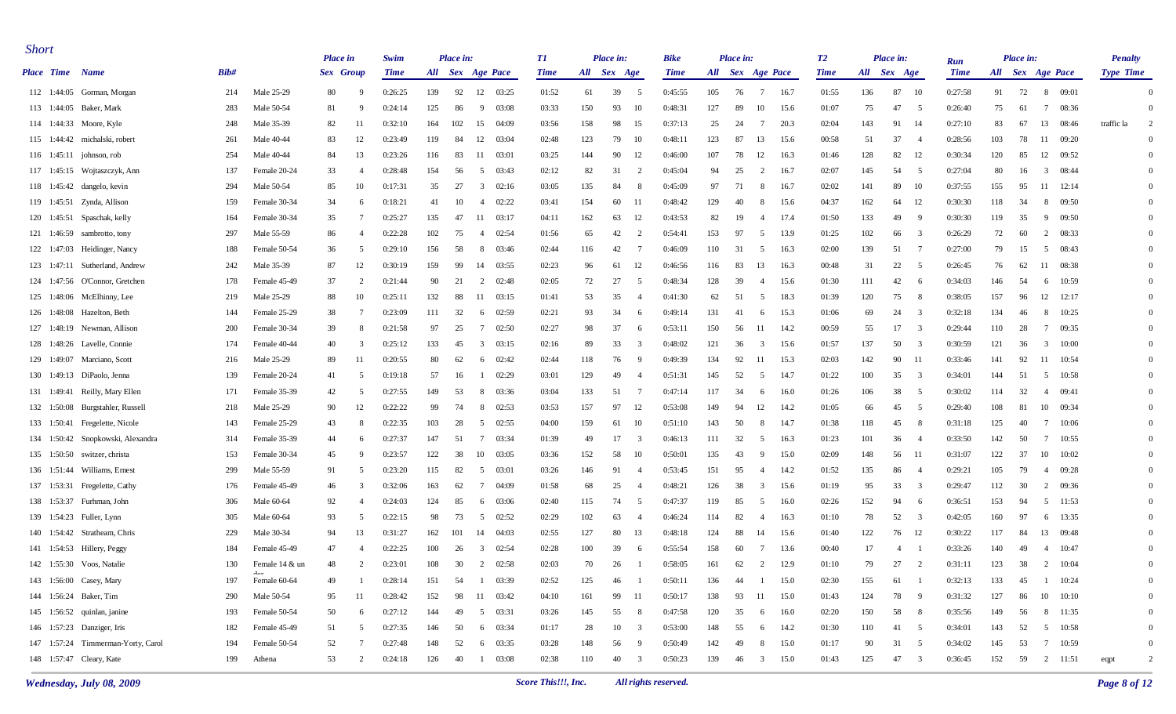| <b>Short</b>    |                                    |      |                     | <b>Place</b> in |                          | Swim        |     | Place in: |                                  | TI          |     | Place in:   |                         | <b>Bike</b> |             | Place in:        |                 |      | <b>T2</b>   |     | Place in:            |                    |     | Place in:                             |                                  | <b>Penalty</b>   |          |
|-----------------|------------------------------------|------|---------------------|-----------------|--------------------------|-------------|-----|-----------|----------------------------------|-------------|-----|-------------|-------------------------|-------------|-------------|------------------|-----------------|------|-------------|-----|----------------------|--------------------|-----|---------------------------------------|----------------------------------|------------------|----------|
| Place Time Name |                                    | Bib# |                     | Sex Group       |                          | <b>Time</b> |     |           | All Sex Age Pace                 | <b>Time</b> |     | All Sex Age |                         | <b>Time</b> |             | All Sex Age Pace |                 |      | <b>Time</b> |     | All Sex Age          | Run<br><b>Time</b> |     | All Sex Age Pace                      |                                  | <b>Type Time</b> |          |
|                 | 112 1:44:05 Gorman, Morgan         | 214  | Male 25-29          | 80              |                          | 0:26:25     | 139 | 92        | 12 03:25                         | 01:52       | 61  | 39          | 5                       | 0:45:55     | 105         | 76               | $7\overline{ }$ | 16.7 | 01:55       | 136 | 87<br>- 10           | 0:27:58            | 91  | 72                                    | 8 09:01                          |                  | $\Omega$ |
|                 | 113 1:44:05 Baker, Mark            | 283  | Male 50-54          | 81              |                          | 0:24:14     | 125 | 86        | -9<br>03:08                      | 03:33       | 150 | 93          | 10                      | 0:48:31     | 127         | 89               | 10              | 15.6 | 01:07       | 75  | 47<br>- 5            | 0:26:40            | 75  | 61                                    | $7\phantom{.0}$<br>08:36         |                  | $\Omega$ |
|                 | 114 1:44:33 Moore, Kyle            | 248  | Male 35-39          | 82              |                          | 0:32:10     | 164 | 102       | 15<br>04:09                      | 03:56       | 158 | 98          | 15                      | 0:37:13     | 25          | 24               | -7              | 20.3 | 02:04       | 143 | 91<br>- 14           | 0:27:10            | 83  | 67                                    | 13<br>08:46                      | traffic la       | 2        |
|                 | 115 1:44:42 michalski, robert      | 261  | Male 40-44          | 83              | 12                       | 0:23:49     | 119 | 84        | 12<br>03:04                      | 02:48       | 123 | 79          | 10                      | 0:48:11     | 123         | 87               | 13              | 15.6 | 00:58       | 51  | 37<br>$\overline{4}$ | 0:28:56            | 103 | 78                                    | 11<br>09:20                      |                  | $\Omega$ |
|                 | 116 1:45:11 johnson, rob           | 254  | Male 40-44          | 84              | 13                       | 0:23:26     | 116 | 83        | -11<br>03:01                     | 03:25       | 144 | 90          | 12                      | 0:46:00     | 107         | 78               | 12              | 16.3 | 01:46       | 128 | 82<br>12             | 0:30:34            | 120 | 85                                    | 12<br>09:52                      |                  | $\Omega$ |
|                 | 117 1:45:15 Wojtaszczyk, Ann       | 137  | Female 20-24        | 33              | $\overline{\phantom{a}}$ | 0:28:48     | 154 | 56        | 5<br>03:43                       | 02:12       | 82  | 31          | 2                       | 0:45:04     | 94          | 25               | 2               | 16.7 | 02:07       | 145 | 54<br>- 5            | 0:27:04            | 80  | 16                                    | $\overline{3}$<br>08:44          |                  | $\Omega$ |
|                 | 118 1:45:42 dangelo, kevin         | 294  | Male 50-54          | 85              | 10                       | 0:17:31     | 35  | 27        | $\overline{\mathbf{3}}$<br>02:16 | 03:05       | 135 | 84          | -8                      | 0:45:09     | 97          | 71               | -8              | 16.7 | 02:02       | 141 | 89<br>- 10           | 0:37:55            | 155 | 95                                    | 11<br>12:14                      |                  | $\Omega$ |
|                 | 119 1:45:51 Zynda, Allison         | 159  | Female 30-34        | 34              |                          | 0:18:21     | 41  | 10        | 02:22<br>4                       | 03:41       | 154 | 60          | -11                     | 0:48:42     | 129         | 40               | -8              | 15.6 | 04:37       | 162 | -12<br>64            | 0:30:30            | 118 | 34                                    | 8<br>09:50                       |                  | $\Omega$ |
|                 | 120 1:45:51 Spaschak, kelly        | 164  | Female 30-34        | 35              |                          | 0:25:27     | 135 | 47        | 03:17<br>-11                     | 04:11       | 162 | 63          | 12                      | 0:43:53     | 82          | 19               | -4              | 17.4 | 01:50       | 133 | 49<br>- 9            | 0:30:30            | 119 | 35                                    | 9 09:50                          |                  | $\Omega$ |
|                 | 121 1:46:59 sambrotto, tony        | 297  | Male 55-59          | 86              |                          | 0:22:28     | 102 | 75        | 02:54<br>$\overline{4}$          | 01:56       | 65  | 42          | 2                       | 0:54:41     | 153         | 97               | -5              | 13.9 | 01:25       | 102 | 66                   | 0:26:29            | 72  | 60                                    | 2<br>08:33                       |                  | $\Omega$ |
|                 | 122 1:47:03 Heidinger, Nancy       | 188  | Female 50-54        | 36              | -5                       | 0:29:10     | 156 | 58        | -8<br>03:46                      | 02:44       | 116 | 42          | -7                      | 0:46:09     | 110         | 31               | - 5             | 16.3 | 02:00       | 139 | 51<br>- 7            | 0:27:00            | 79  | 15                                    | 08:43<br>5                       |                  | $\Omega$ |
|                 | 123 1:47:11 Sutherland, Andrew     | 242  | Male 35-39          | 87              | 12                       | 0:30:19     | 159 | 99        | 14<br>03:55                      | 02:23       | 96  | 61          | 12                      | 0:46:56     | 116         | 83               | 13              | 16.3 | 00:48       | 31  | 22<br>-5             | 0:26:45            | 76  | 62                                    | 11<br>08:38                      |                  | $\Omega$ |
|                 | 124 1:47:56 O'Connor, Gretchen     | 178  | Female 45-49        | 37              | -2                       | 0:21:44     | 90  | 21        | 2<br>02:48                       | 02:05       | 72  | 27          | - 5                     | 0:48:34     | 128         | 39               | -4              | 15.6 | 01:30       | 111 | 42<br>-6             | 0:34:03            | 146 | -54                                   | 10:59<br>6                       |                  | $\Omega$ |
|                 | 125 1:48:06 McElhinny, Lee         | 219  | Male 25-29          | 88              | 10                       | 0:25:11     | 132 | 88        | 11<br>03:15                      | 01:41       | 53  | 35          | $\overline{4}$          | 0:41:30     | 62          | 51               | - 5             | 18.3 | 01:39       | 120 | 75<br>-8             | 0:38:05            | 157 | 96                                    | 12<br>12:17                      |                  | $\Omega$ |
|                 | 126 1:48:08 Hazelton, Beth         | 144  | Female 25-29        | 38              | -7                       | 0:23:09     | 111 | 32        | 02:59<br>6                       | 02:21       | 93  | 34          | -6                      | 0:49:14     | 131         | 41               | -6              | 15.3 | 01:06       | 69  | 24<br>- 3            | 0:32:18            | 134 | 46                                    | 10:25<br>8                       |                  | $\Omega$ |
|                 | 127 1:48:19 Newman, Allison        | 200  | Female 30-34        | 39              |                          | 0:21:58     | 97  | 25        | 7<br>02:50                       | 02:27       | 98  | 37          | -6                      | 0:53:11     | 150         | 56               | -11             | 14.2 | 00:59       | 55  | 17<br>- 3            | 0:29:44            | 110 | 28                                    | $7\phantom{.0}$<br>09:35         |                  | $\Omega$ |
|                 | 128 1:48:26 Lavelle, Connie        | 174  | Female 40-44        | 40              |                          | 0:25:12     | 133 | 45        | $\overline{\mathbf{3}}$<br>03:15 | 02:16       | 89  | 33          | -3                      | 0:48:02     | 121         | 36               | 3               | 15.6 | 01:57       | 137 | 50                   | 0:30:59            | 121 | 36                                    | 10:00<br>$\overline{\mathbf{3}}$ |                  | $\Omega$ |
|                 | 129 1:49:07 Marciano, Scott        | 216  | Male 25-29          | 89              | -11                      | 0:20:55     | 80  | 62        | 02:42<br>6                       | 02:44       | 118 | 76          | -9                      | 0:49:39     | 134         | 92               | -11             | 15.3 | 02:03       | 142 | 90<br>- 11           | 0:33:46            | 141 | 92                                    | 11<br>10:54                      |                  | $\Omega$ |
|                 | 130 1:49:13 DiPaolo, Jenna         | 139  | Female 20-24        | 41              | -5                       | 0:19:18     | 57  | 16        | 02:29<br>-1                      | 03:01       | 129 | 49          | -4                      | 0:51:31     | 145         | 52               | - 5             | 14.7 | 01:22       | 100 | 35<br>- 3            | 0:34:01            | 144 | -51                                   | 10:58<br>5                       |                  | $\Omega$ |
|                 | 131 1:49:41 Reilly, Mary Ellen     | 171  | Female 35-39        | 42              | ÷                        | 0:27:55     | 149 | 53        | 03:36<br>-8                      | 03:04       | 133 | 51          | -7                      | 0:47:14     | 117         | 34               | -6              | 16.0 | 01:26       | 106 | 38<br>- 5            | 0:30:02            | 114 | 32                                    | 09:41<br>4                       |                  | $\Omega$ |
|                 | 132 1:50:08 Burgstahler, Russell   | 218  | Male 25-29          | 90              | 12                       | 0:22:22     | 99  | 74        | 8<br>02:53                       | 03:53       | 157 | 97          | 12                      | 0:53:08     | 149         | 94               | 12              | 14.2 | 01:05       | 66  | 45<br>- 5            | 0:29:40            | 108 | 81                                    | 10 09:34                         |                  | $\Omega$ |
|                 | 133 1:50:41 Fregelette, Nicole     | 143  | Female 25-29        | 43              |                          | 0:22:35     | 103 | 28        | 5<br>02:55                       | 04:00       | 159 | 61          | 10                      | 0:51:10     | 143         | 50               | -8              | 14.7 | 01:38       | 118 | 45<br>- 8            | 0:31:18            | 125 | 40                                    | $7\phantom{.0}$<br>10:06         |                  | $\Omega$ |
|                 | 134 1:50:42 Snopkowski, Alexandra  | 314  | Female 35-39        | 44              | -6                       | 0:27:37     | 147 | 51        | $7\phantom{.0}$<br>03:34         | 01:39       | 49  | 17          | 3                       | 0:46:13     | 111         | 32               | - 5             | 16.3 | 01:23       | 101 | 36<br>-4             | 0:33:50            | 142 | 50                                    | 7<br>10:55                       |                  | $\Omega$ |
|                 | 135 1:50:50 switzer, christa       | 153  | Female 30-34        | 45              | - q                      | 0:23:57     | 122 | 38        | 10<br>03:05                      | 03:36       | 152 | 58          | 10                      | 0:50:01     | 135         | 43               | - 9             | 15.0 | 02:09       | 148 | 56<br>- 11           | 0:31:07            | 122 | 37                                    | 10<br>10:02                      |                  | $\Omega$ |
|                 | 136 1:51:44 Williams, Ernest       | 299  | Male 55-59          | 91              | ÷                        | 0:23:20     | 115 | 82        | 03:01<br>5                       | 03:26       | 146 | 91          | -4                      | 0:53:45     | 151         | 95               | -4              | 14.2 | 01:52       | 135 | 86                   | 0:29:21            | 105 | 79                                    | 4 09:28                          |                  | $\Omega$ |
|                 | 137 1:53:31 Fregelette, Cathy      | 176  | Female 45-49        | 46              | -3                       | 0:32:06     | 163 | 62        | -7<br>04:09                      | 01:58       | 68  | 25          | $\overline{4}$          | 0:48:21     | 126         | 38               | -3              | 15.6 | 01:19       | 95  | 33<br>-3             | 0:29:47            | 112 | 30                                    | 2<br>09:36                       |                  | $\Omega$ |
|                 | 138 1:53:37 Furhman, John          | 306  | Male 60-64          | 92              | $\overline{4}$           | 0:24:03     | 124 | 85        | 03:06<br>6                       | 02:40       | 115 | 74          | -5                      | 0:47:37     | 119         | 85               | -5              | 16.0 | 02:26       | 152 | 94<br>-6             | 0:36:51            | 153 | 94                                    | 5<br>11:53                       |                  | $\Omega$ |
|                 | 139 1:54:23 Fuller, Lynn           | 305  | Male 60-64          | 93              |                          | 0:22:15     | 98  | 73        | 02:52<br>-5                      | 02:29       | 102 | 63          | $\overline{4}$          | 0:46:24     | 114         | 82               | -4              | 16.3 | 01:10       | 78  | 52                   | 0:42:05            | 160 | 97                                    | 13:35<br>6                       |                  | $\Omega$ |
|                 | 140 1:54:42 Stratheam, Chris       | 229  | Male 30-34          | 94              | 13                       | 0:31:27     | 162 | 101       | 14<br>04:03                      | 02:55       | 127 | 80          | 13                      | 0:48:18     | 124         | 88               | 14              | 15.6 | 01:40       | 122 | 76<br>- 12           | 0:30:22            | 117 | 84                                    | 13<br>09:48                      |                  | $\Omega$ |
|                 | 141 1:54:53 Hillery, Peggy         | 184  | Female 45-49        | 47              |                          | 0:22:25     | 100 | 26        | 02:54<br>$\overline{3}$          | 02:28       | 100 | 39          | -6                      | 0:55:54     | 158         | 60               | -7              | 13.6 | 00:40       | 17  | 4                    | 0:33:26            | 140 | 49                                    | 10:47<br>4                       |                  | $\Omega$ |
|                 | 142 1:55:30 Voos, Natalie          | 130  | Female 14 & un      | 48              | $\gamma$                 | 0:23:01     | 108 | 30        | 2 02:58                          | 02:03       | 70  | 26          |                         | 0:58:05     | $161 \t 62$ |                  | $\gamma$        | 12.9 | 01:10       | 79  | 27 2                 | 0:31:11            | 123 | 38 2 10:04                            |                                  |                  | $\Omega$ |
|                 | 143 1:56:00 Casey, Mary            | 197  | dar<br>Female 60-64 | 49              |                          | 0:28:14     | 151 | 54        | 03:39<br>-1                      | 02:52       | 125 | 46          |                         | 0:50:11     | 136         | 44               |                 | 15.0 | 02:30       | 155 | 61                   | 0:32:13            | 133 | 45                                    | 10:24                            |                  |          |
|                 | 144 1:56:24 Baker, Tim             | 290  | Male 50-54          | 95              | -11                      | 0:28:42     | 152 | 98        | 11 03:42                         | 04:10       | 161 | 99          | - 11                    | 0:50:17     | 138         | 93               | -11             | 15.0 | 01:43       | 124 | 78 9                 | 0:31:32            | 127 | 86                                    | 10 10:10                         |                  |          |
|                 | 145 1:56:52 quinlan, janine        | 193  | Female 50-54        | 50              | -6                       | 0:27:12     | 144 | 49        | 5 03:31                          | 03:26       | 145 | 55          | 8                       | 0:47:58     | 120         | 35               | 6               | 16.0 | 02:20       | 150 | 58<br>8 <sup>8</sup> | 0:35:56            | 149 | 56                                    | 8 11:35                          |                  |          |
|                 | 146 1:57:23 Danziger, Iris         | 182  | Female 45-49        | 51              | -5                       | 0:27:35     | 146 | 50        | 6 03:34                          | 01:17       | 28  | 10          | $\overline{\mathbf{3}}$ | 0:53:00     | 148         | 55               | 6               | 14.2 | 01:30       | 110 | 41 5                 | 0:34:01            | 143 | 52                                    | 5 10:58                          |                  |          |
|                 | 147 1:57:24 Timmerman-Yorty, Carol | 194  | Female 50-54        | 52              |                          | 0:27:48     | 148 | 52        | 6 03:35                          | 03:28       | 148 | 56          | -9                      | 0:50:49     | 142         | 49               | 8               | 15.0 | 01:17       | 90  | 31 5                 | 0:34:02            | 145 | 53                                    | $7\overline{ }$<br>10:59         |                  |          |
|                 | 148 1:57:47 Cleary, Kate           | 199  | Athena              | 53              | $\overline{2}$           | 0:24:18     | 126 | 40        | $1 \t 03:08$                     | 02:38       | 110 | 40          | $\overline{\mathbf{3}}$ | 0:50:23     | 139         | 46               | $3 \t 15.0$     |      | 01:43       | 125 | 47 3                 | 0:36:45            |     | $152 \qquad 59 \qquad 2 \qquad 11:51$ |                                  | eqpt             |          |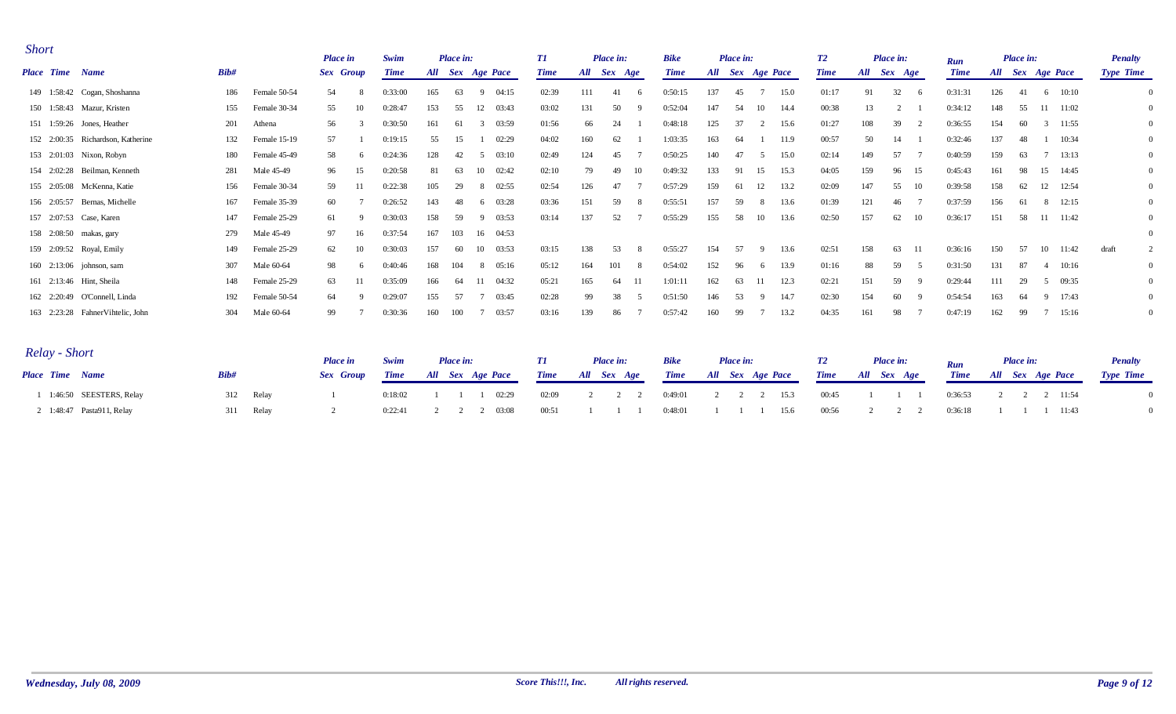| <b>Short</b>                      |      |              | <b>Place in</b> |              | Swim        |     | Place in: |              |       | T1          |     | Place in: |     | <b>Bike</b> |     | Place in:    |    |      | T2          |             | Place in: |              |                    |     | Place in:    |              |          | <b>Penalty</b>   |                |
|-----------------------------------|------|--------------|-----------------|--------------|-------------|-----|-----------|--------------|-------|-------------|-----|-----------|-----|-------------|-----|--------------|----|------|-------------|-------------|-----------|--------------|--------------------|-----|--------------|--------------|----------|------------------|----------------|
| Place Time Name                   | Bib# |              | Sex Group       |              | <b>Time</b> | All |           | Sex Age Pace |       | <b>Time</b> | All | Sex Age   |     | <b>Time</b> | All | Sex Age Pace |    |      | <b>Time</b> | All Sex Age |           |              | Run<br><b>Time</b> | All | Sex Age Pace |              |          | <b>Type Time</b> |                |
| 149 1:58:42 Cogan, Shoshanna      | 186  | Female 50-54 | 54              |              | 0:33:00     | 165 | 63        | 9            | 04:15 | 02:39       | 111 | 41        | - 6 | 0:50:15     | 137 | 45           |    | 15.0 | 01:17       | 91          | 32        | - 6          | 0:31:31            | 126 | -41          | 6            | 10:10    |                  | $\overline{0}$ |
| 150 1:58:43 Mazur, Kristen        | 155  | Female 30-34 | 55              | 10           | 0:28:47     | 153 | 55        | 12           | 03:43 | 03:02       | 131 | 50        | -9  | 0:52:04     | 147 | 54           | 10 | 14.4 | 00:38       | 13          |           |              | 0:34:12            | 148 | 55           |              | 11 11:02 |                  | $\overline{0}$ |
| 151 1:59:26 Jones, Heather        | 201  | Athena       | 56              |              | 0:30:50     | 161 | 61        | 3            | 03:59 | 01:56       | 66  | 24        |     | 0:48:18     | 125 | 37           |    | 15.6 | 01:27       | 108         | 39        |              | 0:36:55            | 154 | 60           | $\mathbf{3}$ | 11:55    |                  | $\overline{0}$ |
| 152 2:00:35 Richardson, Katherine | 132  | Female 15-19 | 57              |              | 0:19:15     | 55  | 15        |              | 02:29 | 04:02       | 160 | 62        |     | 1:03:35     | 163 | 64           |    | 11.9 | 00:57       | 50          | 14        |              | 0:32:46            | 137 | -48          |              | 10:34    |                  | $\overline{0}$ |
| 153 2:01:03 Nixon, Robyn          | 180  | Female 45-49 | 58              | -6           | 0:24:36     | 128 | 42        | 5            | 03:10 | 02:49       | 124 | 45        |     | 0:50:25     | 140 | 47           | -5 | 15.0 | 02:14       | 149         | 57        |              | 0:40:59            | 159 | 63           |              | 13:13    |                  | $\overline{0}$ |
| 154 2:02:28 Beilman, Kenneth      | 281  | Male 45-49   | 96              | 15           | 0:20:58     | 81  | 63        | 10           | 02:42 | 02:10       | 79  | 49        | 10  | 0:49:32     | 133 | 91           | 15 | 15.3 | 04:05       | 159         | 96        | 15           | 0:45:43            | 161 | 98           | 15           | 14:45    |                  | $\overline{0}$ |
| 155 2:05:08 McKenna, Katie        | 156  | Female 30-34 | 59              |              | 0:22:38     | 105 | 29        | 8            | 02:55 | 02:54       | 126 | 47        |     | 0:57:29     | 159 | 61           | 12 | 13.2 | 02:09       | 147         | 55        | - 10         | 0:39:58            | 158 | 62           | 12           | 12:54    |                  | $\overline{0}$ |
| 156 2:05:57 Bernas, Michelle      | 167  | Female 35-39 | 60              |              | 0:26:52     | 143 | 48        | 6            | 03:28 | 03:36       | 151 | 59        | -8  | 0:55:51     | 157 | 59           |    | 13.6 | 01:39       | 121         | 46        |              | 0:37:59            | 156 |              | 8            | 12:15    |                  | $\overline{0}$ |
| 157 2:07:53 Case, Karen           | 147  | Female 25-29 | 61              |              | 0:30:03     | 158 | 59        | 9            | 03:53 | 03:14       | 137 | 52        |     | 0:55:29     | 155 | 58           | 10 | 13.6 | 02:50       | 157         | 62        | -10          | 0:36:17            | 151 | 58           |              | 11 11:42 |                  | $\overline{0}$ |
| 158 2:08:50 makas, gary           | 279  | Male 45-49   | 97              | 16           | 0:37:54     | 167 | 103       | 16 04:53     |       |             |     |           |     |             |     |              |    |      |             |             |           |              |                    |     |              |              |          |                  | $\theta$       |
| 159 2:09:52 Royal, Emily          | 149  | Female 25-29 | 62              | 10           | 0:30:03     | 157 | 60        | 10           | 03:53 | 03:15       | 138 | 53        | -8  | 0:55:27     | 154 | 57           |    | 13.6 | 02:51       | 158         | 63        | - 11         | 0:36:16            | 150 | 57           | 10           | 11:42    | draft            | 2              |
| 160 2:13:06 johnson, sam          | 307  | Male 60-64   | 98              | -6           | 0:40:46     | 168 | 104       | 8 05:16      |       | 05:12       | 164 | 101       | -8  | 0:54:02     | 152 | 96           | -6 | 13.9 | 01:16       | 88          | 59        |              | 0:31:50            | 131 | -87          | -4           | 10:16    |                  | $\overline{0}$ |
| 161 2:13:46 Hint, Sheila          | 148  | Female 25-29 | 63              | 11           | 0:35:09     | 166 | 64        | 11           | 04:32 | 05:21       | 165 | 64        | 11  | 1:01:11     | 162 | 63           | 11 | 12.3 | 02:21       | 151         | 59        |              | 0:29:44            | 111 | 29           | 5            | 09:35    |                  | $\overline{0}$ |
| 162 2:20:49 O'Connell, Linda      | 192  | Female 50-54 | 64              | <sup>Q</sup> | 0:29:07     | 155 | 57        |              | 03:45 | 02:28       | 99  | 38        | -5  | 0:51:50     | 146 | 53           |    | 14.7 | 02:30       | 154         | 60        | $\mathbf{Q}$ | 0:54:54            | 163 | -64          | 9            | 17:43    |                  | $\overline{0}$ |
| 163 2:23:28 FahnerVihtelic, John  | 304  | Male 60-64   | 99              |              | 0:30:36     | 160 | 100       |              | 03:57 | 03:16       | 139 | 86        |     | 0:57:42     | 160 | 99           |    | 13.2 | 04:35       | 161         | 98        |              | 0:47:19            | 162 | 99           |              | 15:16    |                  | $\overline{0}$ |

| Relay - Short             |              | <b>Place in</b> | Swim        | Place in:             |       | <b>Place in:</b>                                      | <b>Bike</b> | <b>Place in:</b>             | <b>T2</b> | Place in:        |         | <b>Place in:</b>      | <b>Penalty</b>   |
|---------------------------|--------------|-----------------|-------------|-----------------------|-------|-------------------------------------------------------|-------------|------------------------------|-----------|------------------|---------|-----------------------|------------------|
| Place Time Name           | Bib#         | Sex Group       | <b>Time</b> | All Sex Age Pace      |       | Time All Sex Age                                      |             | <b>Time</b> All Sex Age Pace |           | Time All Sex Age |         | Time All Sex Age Pace | <b>Type Time</b> |
| 1 1:46:50 SEESTERS, Relay | 312 Relay    |                 | 0:18:02     | 02:29                 | 02:09 | $\begin{array}{ccccccccc}\n2 & 2 & 2 & \n\end{array}$ | 0:49:01     | 2 2 2 15.3                   | 00:45     | $\sim$ 1         | 0:36:53 | 2 2 2 11:54           |                  |
| 2 1:48:47 Pasta911, Relay | Relay<br>311 |                 |             | $0:22:41$ 2 2 2 03:08 | 00:51 |                                                       | 0:48:01     | 1 1 1 1 15.6                 | 00:56     |                  | 0:36:18 | 11:43                 |                  |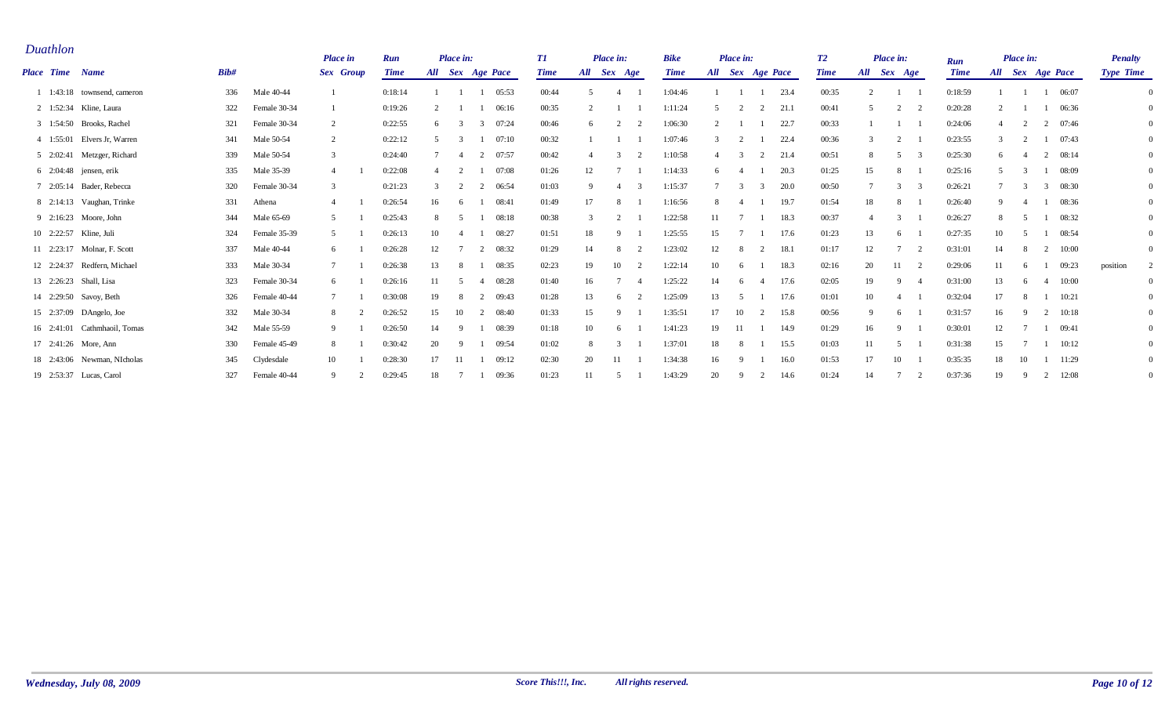| Duathlon        |                               |      |              | <b>Place</b> in  | Run         |               | Place in:                |                         | T1          |                | <b>Place in:</b> |                | <b>Bike</b> |                                              | Place in:      |              |      | T2          |           | Place in:    |                |                    |                  | Place in:     |                |             | <b>Penalty</b>   |                |
|-----------------|-------------------------------|------|--------------|------------------|-------------|---------------|--------------------------|-------------------------|-------------|----------------|------------------|----------------|-------------|----------------------------------------------|----------------|--------------|------|-------------|-----------|--------------|----------------|--------------------|------------------|---------------|----------------|-------------|------------------|----------------|
| Place Time Name |                               | Bib# |              | <b>Sex</b> Group | <b>Time</b> |               |                          | All Sex Age Pace        | <b>Time</b> | All            | Sex Age          |                | <b>Time</b> | $\boldsymbol{A}\boldsymbol{l}\boldsymbol{l}$ |                | Sex Age Pace |      | <b>Time</b> | All       | Sex Age      |                | Run<br><b>Time</b> | All Sex Age Pace |               |                |             | <b>Type Time</b> |                |
|                 | 1:43:18 townsend, cameron     | 336  | Male 40-44   |                  | 0:18:14     |               |                          | 05:53                   | 00:44       | $\overline{2}$ |                  |                | 1:04:46     |                                              |                |              | 23.4 | 00:35       | $\bigcap$ |              |                | 0:18:59            |                  |               | $\overline{1}$ | 06:07       |                  | $\theta$       |
|                 | 2 1:52:34 Kline, Laura        | 322  | Female 30-34 |                  | 0:19:26     | $\mathcal{L}$ |                          | 06:16                   | 00:35       |                |                  |                | 1:11:24     |                                              | $\overline{2}$ | 2            | 21.1 | 00:41       | -5        | 2            | $\overline{2}$ | 0:20:28            |                  |               |                | 06:36       |                  | $\overline{0}$ |
|                 | 3 1:54:50 Brooks, Rachel      | 321  | Female 30-34 | 2                | 0:22:55     | 6             |                          | 07:24<br>$\overline{3}$ | 00:46       | 6              |                  |                | 1:06:30     |                                              |                |              | 22.7 | 00:33       |           |              |                | 0:24:06            |                  |               |                | 2 07:46     |                  | $\overline{0}$ |
|                 | 4 1:55:01 Elvers Jr, Warren   | 341  | Male 50-54   | 2                | 0:22:12     | $\sim$        |                          | 07:10                   | 00:32       |                |                  |                | 1:07:46     |                                              |                |              | 22.4 | 00:36       |           |              |                | 0:23:55            |                  | $\mathcal{L}$ |                | 07:43       |                  | $\overline{0}$ |
|                 | 5 2:02:41 Metzger, Richard    | 339  | Male 50-54   | 3                | 0:24:40     |               | $\overline{\mathcal{L}}$ | 07:57<br>2              | 00:42       |                |                  | $\mathcal{D}$  | 1:10:58     |                                              |                |              | 21.4 | 00:51       | -8        | -5           |                | 0:25:30            | 6                |               | 2              | 08:14       |                  | $\mathbf{0}$   |
|                 | $6\quad 2:04:48$ jensen, erik | 335  | Male 35-39   | $\overline{4}$   | 0:22:08     |               | 2                        | 07:08                   | 01:26       | 12             |                  |                | 1:14:33     |                                              |                |              | 20.3 | 01:25       | 15        |              |                | 0:25:16            | $\sim$           | $\mathcal{R}$ | -1             | 08:09       |                  | $\mathbf{0}$   |
|                 | 7 2:05:14 Bader, Rebecca      | 320  | Female 30-34 | 3                | 0:21:23     |               | $\mathcal{D}$            | 06:54<br>2              | 01:03       | 9              |                  |                | 1:15:37     |                                              |                |              | 20.0 | 00:50       |           |              |                | 0:26:21            |                  |               | 3              | 08:30       |                  | $\mathbf{0}$   |
|                 | 8 2:14:13 Vaughan, Trinke     | 331  | Athena       |                  | 0:26:54     | 16            | -6                       | 08:41                   | 01:49       | 17             | -8               |                | 1:16:56     |                                              |                |              | 19.7 | 01:54       | 18        |              |                | 0:26:40            | 9                |               |                | 08:36       |                  | $\overline{0}$ |
|                 | 9 2:16:23 Moore, John         | 344  | Male 65-69   |                  | 0:25:43     | 8             |                          | 08:18                   | 00:38       | 3              | $\mathcal{D}$    |                | 1:22:58     | 11                                           |                |              | 18.3 | 00:37       |           |              |                | 0:26:27            | 8                |               |                | 08:32       |                  | $\mathbf{0}$   |
|                 | 10 2:22:57 Kline, Juli        | 324  | Female 35-39 | 5                | 0:26:13     | 10            |                          | 08:27                   | 01:51       | 18             | $\mathbf{Q}$     |                | 1:25:55     | 15                                           |                |              | 17.6 | 01:23       | 13        | -6           |                | 0:27:35            | 10               |               |                | 08:54       |                  | $\overline{0}$ |
|                 | 11 2:23:17 Molnar, F. Scott   | 337  | Male 40-44   | -6               | 0:26:28     | 12            |                          | 08:32<br>2              | 01:29       | 14             | 8                |                | 1:23:02     | 12                                           |                |              | 18.1 | 01:17       | 12        |              |                | 0:31:01            | 14               | 8             | 2              | 10:00       |                  | $\theta$       |
|                 | 12 2:24:37 Redfern, Michael   | 333  | Male 30-34   |                  | 0:26:38     | 13            | -8                       | 08:35                   | 02:23       | 19             | 10               | $\overline{2}$ | 1:22:14     | 10                                           |                |              | 18.3 | 02:16       | 20        | 11           | $\overline{2}$ | 0:29:06            | 11               |               |                | 09:23       | position         | 2              |
|                 | 13 2:26:23 Shall, Lisa        | 323  | Female 30-34 | -6               | 0:26:16     | 11            | -5                       | 08:28<br>4              | 01:40       | 16             |                  |                | 1:25:22     | 14                                           | 6              |              | 17.6 | 02:05       | 19        | $\mathbf{Q}$ |                | 0:31:00            | 13               | 6             | 4              | 10:00       |                  | $\theta$       |
|                 | 14 2:29:50 Savoy, Beth        | 326  | Female 40-44 |                  | 0:30:08     | 19            | -8                       | 09:43<br>2              | 01:28       | 13             | 6                |                | 1:25:09     | 13                                           |                |              | 17.6 | 01:01       | 10        |              |                | 0:32:04            | 17               |               |                | 10:21       |                  | $\overline{0}$ |
|                 | 15 2:37:09 DAngelo, Joe       | 332  | Male 30-34   | 8                | 0:26:52     | 15            | 10                       | 08:40<br>2              | 01:33       | 15             | $\Omega$         |                | 1:35:51     | 17                                           | -10            |              | 15.8 | 00:56       | Q         | -6           |                | 0:31:57            | 16               | 9             |                | $2 \t10:18$ |                  | $\overline{0}$ |
|                 | 16 2:41:01 Cathmhaoil, Tomas  | 342  | Male 55-59   | -9               | 0:26:50     | 14            | -9                       | 08:39                   | 01:18       | 10             | -6               |                | 1:41:23     | 19                                           | 11             |              | 14.9 | 01:29       | 16        | $\mathbf{Q}$ |                | 0:30:01            | 12               |               |                | 09:41       |                  | $\mathbf{0}$   |
|                 | 17 2:41:26 More, Ann          | 330  | Female 45-49 | 8                | 0:30:42     | 20            | -9                       | 09:54                   | 01:02       | 8              |                  |                | 1:37:01     | 18                                           | 8              |              | 15.5 | 01:03       | 11        |              |                | 0:31:38            | 15               |               |                | 10:12       |                  | $\overline{0}$ |
|                 | 18 2:43:06 Newman, NIcholas   | 345  | Clydesdale   | 10               | 0:28:30     | 17            |                          | 09:12                   | 02:30       | 20             |                  |                | 1:34:38     | 16                                           |                |              | 16.0 | 01:53       |           | 10           |                | 0:35:35            | 18               |               |                | 11:29       |                  | $\mathbf{0}$   |
|                 | 19 2:53:37 Lucas, Carol       | 327  | Female 40-44 | -9               | 0:29:45     | 18            |                          | 09:36                   | 01:23       | 11             |                  |                | 1:43:29     | 20                                           | q              |              | 14.6 | 01:24       | 14        |              | $\overline{2}$ | 0:37:36            | 19               |               | 2              | 12:08       |                  | $\overline{0}$ |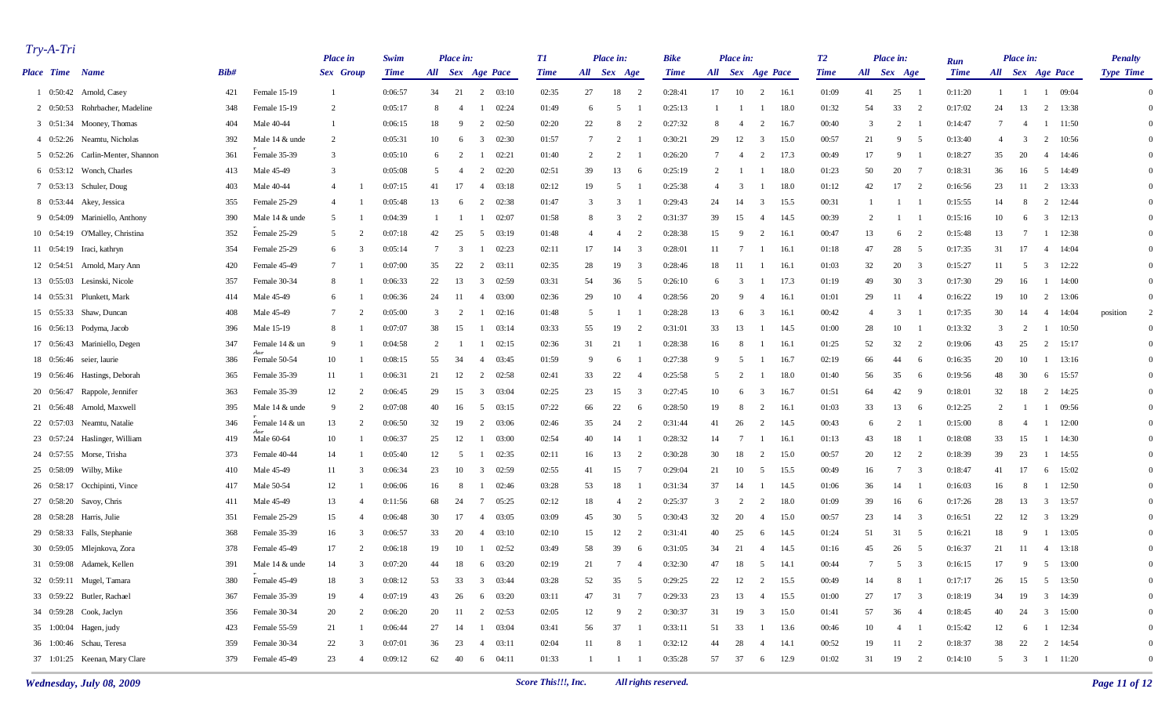| $Try-A-Tri$            |                                  |      |                                    | <b>Place</b> in  |                | Swim        |                 | Place in:      |                         |       | T1          |                | Place in:       |                 | <b>Bike</b> |                 | Place in:        |                |      | T2          |                | Place in:      |                          |                    |                  | Place in:      |                 |       | <b>Penalty</b>   |                |
|------------------------|----------------------------------|------|------------------------------------|------------------|----------------|-------------|-----------------|----------------|-------------------------|-------|-------------|----------------|-----------------|-----------------|-------------|-----------------|------------------|----------------|------|-------------|----------------|----------------|--------------------------|--------------------|------------------|----------------|-----------------|-------|------------------|----------------|
| <b>Place Time Name</b> |                                  | Bib# |                                    | <b>Sex</b> Group |                | <b>Time</b> |                 |                | All Sex Age Pace        |       | <b>Time</b> | All Sex Age    |                 |                 | <b>Time</b> |                 | All Sex Age Pace |                |      | <b>Time</b> | All Sex Age    |                |                          | Run<br><b>Time</b> | All Sex Age Pace |                |                 |       | <b>Type Time</b> |                |
|                        | 1 0:50:42 Arnold, Casey          | 421  | Female 15-19                       | -1               |                | 0:06:57     | 34              | 21             | 2                       | 03:10 | 02:35       | 27             | 18              | 2               | 0:28:41     | 17              | 10               | 2              | 16.1 | 01:09       | 41             | 25             |                          | 0:11:20            | -1               |                | $\overline{1}$  | 09:04 |                  | $\Omega$       |
|                        | 2 0:50:53 Rohrbacher, Madeline   | 348  | Female 15-19                       | 2                |                | 0:05:17     | 8               | $\overline{4}$ |                         | 02:24 | 01:49       | -6             | -5              |                 | 0:25:13     |                 |                  |                | 18.0 | 01:32       | 54             | 33             | $\overline{2}$           | 0:17:02            | 24               | 13             | 2 13:38         |       |                  | $\Omega$       |
|                        | 3 0:51:34 Mooney, Thomas         | 404  | Male 40-44                         | -1               |                | 0:06:15     | 18              | 9              | $\overline{2}$          | 02:50 | 02:20       | 22             | 8               | $\overline{2}$  | 0:27:32     | -8              | $\overline{4}$   | 2              | 16.7 | 00:40       | 3              | 2              |                          | 0:14:47            | 7                | -4             | $1 \quad 11:50$ |       |                  | $\Omega$       |
|                        | 4 0:52:26 Neamtu, Nicholas       | 392  | Male 14 & unde                     | 2                |                | 0:05:31     | 10              | 6              | 3                       | 02:30 | 01:57       | $\overline{7}$ | $\overline{2}$  |                 | 0:30:21     | 29              | 12               | -3             | 15.0 | 00:57       | 21             | 9              | - 5                      | 0:13:40            | $\overline{4}$   | $\overline{3}$ | $\overline{2}$  | 10:56 |                  | $\Omega$       |
|                        | 5 0:52:26 Carlin-Menter, Shannon | 361  | Female 35-39                       | $\overline{3}$   |                | 0:05:10     | -6              | $\overline{2}$ |                         | 02:21 | 01:40       | 2              | $\overline{2}$  |                 | 0:26:20     | $7\phantom{.0}$ | -4               | 2              | 17.3 | 00:49       | 17             | 9              |                          | 0:18:27            | 35               | 20             | 4               | 14:46 |                  | $\Omega$       |
|                        | 6 0:53:12 Wonch, Charles         | 413  | Male 45-49                         | 3                |                | 0:05:08     | 5               | 4              | $\overline{2}$          | 02:20 | 02:51       | 39             | 13              | -6              | 0:25:19     | 2               |                  |                | 18.0 | 01:23       | 50             | 20             |                          | 0:18:31            | 36               | 16             | 5               | 14:49 |                  | $\Omega$       |
|                        | 7 0:53:13 Schuler, Doug          | 403  | Male 40-44                         | 4                |                | 0:07:15     | 41              | 17             | -4                      | 03:18 | 02:12       | 19             | -5              |                 | 0:25:38     | $\overline{4}$  | - 3              |                | 18.0 | 01:12       | 42             | 17             | $\overline{2}$           | 0:16:56            | 23               | -11            | 2 13:33         |       |                  | $\Omega$       |
|                        | 8 0:53:44 Akey, Jessica          | 355  | Female 25-29                       | $\overline{4}$   |                | 0:05:48     | 13              | 6              | 2                       | 02:38 | 01:47       | 3              | 3               |                 | 0:29:43     | 24              | 14               | 3              | 15.5 | 00:31       |                |                |                          | 0:15:55            | 14               | -8             | $\overline{2}$  | 12:44 |                  | $\Omega$       |
|                        | 9 0:54:09 Mariniello, Anthony    | 390  | Male 14 & unde                     | 5                |                | 0:04:39     | -1              | - 1            | -1                      | 02:07 | 01:58       | 8              | 3               | 2               | 0:31:37     | 39              | 15               | 4              | 14.5 | 00:39       | $\overline{2}$ | -1             |                          | 0:15:16            | 10               | 6              | $\mathbf{3}$    | 12:13 |                  | $\Omega$       |
|                        | 10 0:54:19 O'Malley, Christina   | 352  | Female 25-29                       | -5               |                | 0:07:18     | 42              | 25             | 5                       | 03:19 | 01:48       | $\overline{4}$ | $\overline{4}$  | 2               | 0:28:38     | 15              | - 9              | 2              | 16.1 | 00:47       | 13             | 6              | - 2                      | 0:15:48            | 13               | -7             | -1              | 12:38 |                  | $\Omega$       |
|                        | 11 0:54:19 Iraci, kathryn        | 354  | Female 25-29                       | 6                | 3              | 0:05:14     | $7\phantom{.0}$ | 3              | -1                      | 02:23 | 02:11       | 17             | 14              | 3               | 0:28:01     | 11              | - 7              |                | 16.1 | 01:18       | 47             | 28             | - 5                      | 0:17:35            | 31               | 17             | $4\quad 14:04$  |       |                  | $\Omega$       |
|                        | 12 0:54:51 Arnold, Mary Ann      | 420  | Female 45-49                       | -7               |                | 0:07:00     | 35              | 22             | 2                       | 03:11 | 02:35       | 28             | 19              | 3               | 0:28:46     | 18              | 11               |                | 16.1 | 01:03       | 32             | 20             | - 3                      | 0:15:27            | 11               | 5              | $\mathbf{3}$    | 12:22 |                  | $\Omega$       |
|                        | 13 0:55:03 Lesinski, Nicole      | 357  | Female 30-34                       | 8                |                | 0:06:33     | 22              | 13             | 3                       | 02:59 | 03:31       | 54             | 36              | - 5             | 0:26:10     | - 6             | -3               |                | 17.3 | 01:19       | 49             | 30             | 3                        | 0:17:30            | 29               | 16             | -1              | 14:00 |                  | $\Omega$       |
|                        | 14 0:55:31 Plunkett, Mark        | 414  | Male 45-49                         | -6               |                | 0:06:36     | 24              | -11            | 4                       | 03:00 | 02:36       | 29             | 10              | $\overline{4}$  | 0:28:56     | 20              | 9                | -4             | 16.1 | 01:01       | 29             | -11            | -4                       | 0:16:22            | 19               | 10             | $\overline{2}$  | 13:06 |                  | $\Omega$       |
|                        | 15 0:55:33 Shaw, Duncan          | 408  | Male 45-49                         | $\overline{7}$   |                | 0:05:00     | 3               | 2              | -1                      | 02:16 | 01:48       | -5             |                 |                 | 0:28:28     | 13              | 6                | 3              | 16.1 | 00:42       | $\overline{4}$ | 3              |                          | 0:17:35            | 30               | 14             | 4               | 14:04 | position         | 2              |
|                        | 16 0:56:13 Podyma, Jacob         | 396  | Male 15-19                         | -8               |                | 0:07:07     | 38              | 15             | -1                      | 03:14 | 03:33       | 55             | 19              | $\overline{2}$  | 0:31:01     | 33              | 13               |                | 14.5 | 01:00       | 28             | 10             |                          | 0:13:32            | 3                | 2              | -1              | 10:50 |                  | $\overline{0}$ |
|                        | 17 0:56:43 Mariniello, Degen     | 347  | Female 14 & un                     | -9               |                | 0:04:58     | 2               |                |                         | 02:15 | 02:36       | 31             | 21              |                 | 0:28:38     | 16              | - 8              |                | 16.1 | 01:25       | 52             | 32             | $\overline{2}$           | 0:19:06            | 43               | 25             | 2               | 15:17 |                  | $\Omega$       |
|                        | 18 0:56:46 seier, laurie         | 386  | $A_{\alpha\alpha}$<br>Female 50-54 | 10               |                | 0:08:15     | 55              | 34             | $\overline{4}$          | 03:45 | 01:59       | -9             | 6               |                 | 0:27:38     | -9              | 5                |                | 16.7 | 02:19       | 66             | 44             | - 6                      | 0:16:35            | 20               | 10             | -1              | 13:16 |                  | $\Omega$       |
|                        | 19 0:56:46 Hastings, Deborah     | 365  | Female 35-39                       | 11               |                | 0:06:31     | 21              | 12             | 2                       | 02:58 | 02:41       | 33             | 22              | $\overline{4}$  | 0:25:58     | -5              | $\overline{2}$   |                | 18.0 | 01:40       | 56             | 35             | -6                       | 0:19:56            | 48               | 30             | 6               | 15:57 |                  | $\Omega$       |
|                        | 20 0:56:47 Rappole, Jennifer     | 363  | Female 35-39                       | 12               | 2              | 0:06:45     | 29              | 15             | $\overline{\mathbf{3}}$ | 03:04 | 02:25       | 23             | 15              | 3               | 0:27:45     | 10              | -6               | 3              | 16.7 | 01:51       | 64             | 42             | - q                      | 0:18:01            | 32               | 18             | $\overline{2}$  | 14:25 |                  | $\Omega$       |
|                        | 21 0:56:48 Arnold, Maxwell       | 395  | Male 14 & unde                     | -9               | $\overline{2}$ | 0:07:08     | 40              | 16             | -5                      | 03:15 | 07:22       | 66             | 22              | - 6             | 0:28:50     | 19              | - 8              | 2              | 16.1 | 01:03       | 33             | 13             | - 6                      | 0:12:25            | 2                |                | - 1             | 09:56 |                  | $\Omega$       |
|                        | 22 0:57:03 Neamtu, Natalie       | 346  | Female 14 & un                     | 13               | $\mathcal{D}$  | 0:06:50     | 32              | 19             | $\overline{2}$          | 03:06 | 02:46       | 35             | 24              | $\overline{2}$  | 0:31:44     | 41              | 26               | 2              | 14.5 | 00:43       | 6              | 2              |                          | 0:15:00            | 8                | -4             | -1              | 12:00 |                  | $\Omega$       |
|                        | 23 0:57:24 Haslinger, William    | 419  | $A_{\alpha r}$<br>Male 60-64       | 10               |                | 0:06:37     | 25              | 12             | -1                      | 03:00 | 02:54       | 40             | 14              |                 | 0:28:32     | 14              | - 7              |                | 16.1 | 01:13       | 43             | 18             |                          | 0:18:08            | 33               | 15             | $1 \t14:30$     |       |                  | $\Omega$       |
|                        | 24 0:57:55 Morse, Trisha         | 373  | Female 40-44                       | 14               |                | 0:05:40     | 12              | 5              | -1                      | 02:35 | 02:11       | 16             | 13              | 2               | 0:30:28     | 30              | 18               | 2              | 15.0 | 00:57       | 20             | 12             | $\overline{2}$           | 0:18:39            | 39               | 23             | -1              | 14:55 |                  | $\Omega$       |
|                        | 25 0:58:09 Wilby, Mike           | 410  | Male 45-49                         | 11               | 3              | 0:06:34     | 23              | 10             | 3                       | 02:59 | 02:55       | 41             | 15              | -7              | 0:29:04     | 21              | 10               | - 5            | 15.5 | 00:49       | 16             | 7              | 3                        | 0:18:47            | 41               | 17             | 6               | 15:02 |                  | $\Omega$       |
|                        | 26 0:58:17 Occhipinti, Vince     | 417  | Male 50-54                         | 12               |                | 0:06:06     | 16              | 8              |                         | 02:46 | 03:28       | 53             | 18              |                 | 0:31:34     | 37              | 14               |                | 14.5 | 01:06       | 36             | 14             |                          | 0:16:03            | 16               | -8             | -1              | 12:50 |                  | $\Omega$       |
|                        | 27 0:58:20 Savoy, Chris          | 411  | Male 45-49                         | 13               | $\overline{4}$ | 0:11:56     | 68              | 24             | $7\phantom{.0}$         | 05:25 | 02:12       | 18             | 4               | $\overline{2}$  | 0:25:37     | 3               | $\overline{2}$   | $\overline{2}$ | 18.0 | 01:09       | 39             | 16             | - 6                      | 0:17:26            | 28               | 13             | 3 13:57         |       |                  | $\Omega$       |
|                        | 28 0:58:28 Harris, Julie         | 351  | Female 25-29                       | 15               | $\overline{4}$ | 0:06:48     | 30              | 17             | 4                       | 03:05 | 03:09       | 45             | 30              | - 5             | 0:30:43     | 32              | 20               |                | 15.0 | 00:57       | 23             | 14             | - 3                      | 0:16:51            | 22               | 12             | $\mathbf{3}$    | 13:29 |                  | $\Omega$       |
|                        | 29 0:58:33 Falls, Stephanie      | 368  | Female 35-39                       | 16               | 3              | 0:06:57     | 33              | 20             | 4                       | 03:10 | 02:10       | 15             | 12              | $\overline{2}$  | 0:31:41     | 40              | 25               | -6             | 14.5 | 01:24       | 51             | 31             | 5                        | 0:16:21            | 18               | -9             | -1              | 13:05 |                  | $\Omega$       |
|                        | 30 0:59:05 Mlejnkova, Zora       | 378  | Female 45-49                       | 17               | $\overline{c}$ | 0:06:18     | 19              | 10             |                         | 02:52 | 03:49       | 58             | 39              | -6              | 0:31:05     | 34              | 21               | -4             | 14.5 | 01:16       | 45             | 26             | - 5                      | 0:16:37            | 21               | -11            | 4               | 13:18 |                  | $\Omega$       |
|                        | 31 0:59:08 Adamek, Kellen        | 391  | Male 14 & unde                     | 14               | $\mathcal{R}$  | 0:07:20     | 44              | 18             | 6 03:20                 |       | 02:19       | 21             | $7\phantom{.0}$ | $\overline{4}$  | 0:32:30     | 47              | 18               | $\sqrt{5}$     | 14.1 | 00:44       | $\overline{7}$ | $5^{\circ}$    | $\overline{\mathbf{3}}$  | 0:16:15            | 17               | 9              | 5 13:00         |       |                  | $\Omega$       |
|                        | 32 0:59:11 Mugel, Tamara         | 380  | Female 45-49                       | 18               |                | 0:08:12     | 53              | 33             | $\overline{3}$          | 03:44 | 03:28       | 52             | 35              |                 | 0:29:25     | 22              | 12               | $\overline{2}$ | 15.5 | 00:49       | 14             | 8              |                          | 0:17:17            | 26               | 15             | 5 13:50         |       |                  | $\overline{0}$ |
|                        | 33 0:59:22 Butler, Rachael       | 367  | Female 35-39                       | 19               | $\overline{4}$ | 0:07:19     | 43              | 26             | 6 03:20                 |       | 03:11       | 47             | 31              | $7\phantom{.0}$ | 0:29:33     | 23              | 13               | -4             | 15.5 | 01:00       | 27             | 17             | $\overline{\phantom{a}}$ | 0:18:19            | 34               | 19             | 3 14:39         |       |                  | $\Omega$       |
|                        | 34 0:59:28 Cook, Jaclyn          | 356  | Female 30-34                       | 20               | $\overline{2}$ | 0:06:20     | 20              | -11            | 2 02:53                 |       | 02:05       | 12             | 9               | $\overline{2}$  | 0:30:37     | 31              | 19               | $\mathbf{3}$   | 15.0 | 01:41       | 57             | 36             | $\sim$ 4                 | 0:18:45            | 40               | 24             | $3 \quad 15:00$ |       |                  |                |
|                        | 35 1:00:04 Hagen, judy           | 423  | Female 55-59                       | 21               |                | 0:06:44     | 27              | 14             | $1 \t 03:04$            |       | 03:41       | 56             | 37              |                 | 0:33:11     | 51              | 33               |                | 13.6 | 00:46       | 10             | $\overline{4}$ |                          | 0:15:42            | 12               | 6              | $1 \t 12:34$    |       |                  |                |
|                        | 36 1:00:46 Schau, Teresa         | 359  | Female 30-34                       | 22               | 3              | 0:07:01     | 36              | 23             | $4 \quad 03:11$         |       | 02:04       | 11             | 8               |                 | 0:32:12     | 44              | 28               | 4              | 14.1 | 00:52       | 19             | 11 2           |                          | 0:18:37            | 38               | 22             | 2 14:54         |       |                  | $\bf{0}$       |
|                        | 37 1:01:25 Keenan, Mary Clare    | 379  | Female 45-49                       | 23               | $\overline{4}$ | 0:09:12     | 62              | 40             | 6 04:11                 |       | 01:33       | $\mathbf{1}$   | $\overline{1}$  | $\frac{1}{2}$   | 0:35:28     | 57              | 37               | 6              | 12.9 | 01:02       | 31             | 19 2           |                          | 0:14:10            | 5 <sup>5</sup>   | 3 1 11:20      |                 |       |                  | $\overline{0}$ |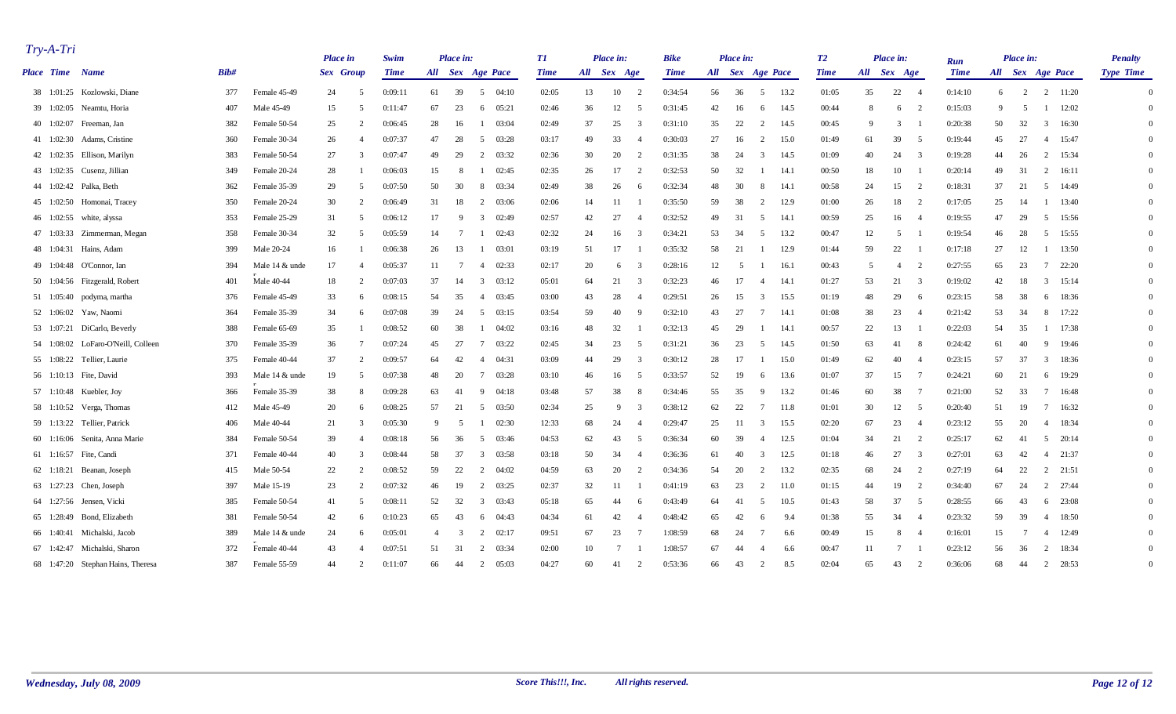| $Try-A-Tri$ |                                    |      |                | <b>Place in</b> |                | Swim        |                | Place in:      |                                  | T1          |             | Place in:      |                          | <b>Bike</b> |    | Place in: |                  |       | T2          |              | Place in:       |                | Run         |    | Place in:        |                 |       | <b>Penalty</b>   |  |
|-------------|------------------------------------|------|----------------|-----------------|----------------|-------------|----------------|----------------|----------------------------------|-------------|-------------|----------------|--------------------------|-------------|----|-----------|------------------|-------|-------------|--------------|-----------------|----------------|-------------|----|------------------|-----------------|-------|------------------|--|
|             | Place Time Name                    | Bib# |                | Sex Group       |                | <b>Time</b> |                |                | All Sex Age Pace                 | <b>Time</b> | All Sex Age |                |                          | <b>Time</b> |    |           | All Sex Age Pace |       | <b>Time</b> |              | All Sex Age     |                | <b>Time</b> |    | All Sex Age Pace |                 |       | <b>Type Time</b> |  |
|             | 38 1:01:25 Kozlowski, Diane        | 377  | Female 45-49   | 24              | -5             | 0:09:11     | 61             | 39             | 5<br>04:10                       | 02:05       | 13          | 10             | $\overline{2}$           | 0:34:54     | 56 | 36        | 5                | 13.2  | 01:05       | 35           | 22              | $\overline{4}$ | 0:14:10     | 6  | 2                | 2               | 11:20 | $\Omega$         |  |
|             | 39 1:02:05 Neamtu, Horia           | 407  | Male 45-49     | 15              | $\sim$         | 0:11:47     | 67             | 23             | 6<br>05:21                       | 02:46       | 36          | 12             | - 5                      | 0:31:45     | 42 | 16        | -6               | 14.5  | 00:44       | -8           | -6              | $\overline{2}$ | 0:15:03     | 9  | -5               | -1              | 12:02 | $\Omega$         |  |
|             | 40 1:02:07 Freeman, Jan            | 382  | Female 50-54   | 25              |                | 0:06:45     | 28             | 16             | 03:04<br>$\mathbf{1}$            | 02:49       | 37          | 25             | 3                        | 0:31:10     | 35 | 22        | $\overline{2}$   | 14.5  | 00:45       | $\mathbf{q}$ | $\overline{3}$  |                | 0:20:38     | 50 | 32               | $\overline{3}$  | 16:30 |                  |  |
|             | 41 1:02:30 Adams, Cristine         | 360  | Female 30-34   | 26              |                | 0:07:37     | 47             | 28             | 5<br>03:28                       | 03:17       | 49          | 33             | $\overline{\mathcal{L}}$ | 0:30:03     | 27 | 16        | 2                | 15.0  | 01:49       | 61           | 39              | - 5            | 0:19:44     | 45 | 27               | 4               | 15:47 |                  |  |
|             | 42 1:02:35 Ellison, Marilyn        | 383  | Female 50-54   | 27              | -3             | 0:07:47     | 49             | 29             | 2<br>03:32                       | 02:36       | 30          | 20             | 2                        | 0:31:35     | 38 | 24        | 3                | 14.5  | 01:09       | 40           | 24              | - 3            | 0:19:28     | 44 | 26               | 2               | 15:34 |                  |  |
|             | 43 1:02:35 Cusenz, Jillian         | 349  | Female 20-24   | 28              |                | 0:06:03     | 15             | 8              | 02:45<br>-1                      | 02:35       | 26          | 17             | 2                        | 0:32:53     | 50 | 32        |                  | -14.1 | 00:50       | 18           | 10              |                | 0:20:14     | 49 | 31               | 2               | 16:11 | $\Omega$         |  |
|             | 44 1:02:42 Palka, Beth             | 362  | Female 35-39   | 29              | -5             | 0:07:50     | 50             | 30             | 8<br>03:34                       | 02:49       | 38          | 26             | -6                       | 0:32:34     | 48 | 30        | -8               | -14.1 | 00:58       | 24           | 15              | 2              | 0:18:31     | 37 | 21               | 5               | 14:49 | $\Omega$         |  |
|             | 45 1:02:50 Homonai, Tracey         | 350  | Female 20-24   | 30              | $\mathcal{D}$  | 0:06:49     | 31             | 18             | 2<br>03:06                       | 02:06       | 14          | 11             |                          | 0:35:50     | 59 | 38        | 2                | 12.9  | 01:00       | 26           | 18              |                | 0:17:05     | 25 | 14               | $\mathbf{1}$    | 13:40 | $\Omega$         |  |
|             | 46 1:02:55 white, alyssa           | 353  | Female 25-29   | 31              | -5             | 0:06:12     | 17             | -9             | 02:49<br>$\overline{\mathbf{3}}$ | 02:57       | 42          | 27             | $\overline{4}$           | 0:32:52     | 49 | 31        | 5                | -14.1 | 00:59       | 25           | 16              |                | 0:19:55     | 47 | 29               | 5               | 15:56 | $\Omega$         |  |
|             | 47 1:03:33 Zimmerman, Megan        | 358  | Female 30-34   | 32              | -5             | 0:05:59     | 14             | $\overline{7}$ | 02:43                            | 02:32       | 24          | 16             | -3                       | 0:34:21     | 53 | 34        | 5                | 13.2  | 00:47       | 12           | 5               |                | 0:19:54     | 46 | 28               | 5               | 15:55 | $\Omega$         |  |
|             | 48 1:04:31 Hains, Adam             | 399  | Male 20-24     | 16              |                | 0:06:38     | 26             | 13             | 03:01<br>-1                      | 03:19       | 51          | 17             |                          | 0:35:32     | 58 | 21        |                  | 12.9  | 01:44       | 59           | 22              |                | 0:17:18     | 27 | 12               | -1              | 13:50 | $\Omega$         |  |
|             | 49 1:04:48 O'Connor, Ian           | 394  | Male 14 & unde | 17              |                | 0:05:37     | 11             | 7              | 402:33                           | 02:17       | 20          | 6              | -3                       | 0:28:16     | 12 | -5        |                  | 16.1  | 00:43       | -5           | $\overline{4}$  |                | 0:27:55     | 65 | 23               | $7\overline{ }$ | 22:20 |                  |  |
|             | 50 1:04:56 Fitzgerald, Robert      | 401  | Male 40-44     | 18              | $\overline{2}$ | 0:07:03     | 37             | 14             | 03:12<br>$\overline{\mathbf{3}}$ | 05:01       | 64          | 21             | 3                        | 0:32:23     | 46 | 17        |                  | -14.1 | 01:27       | 53           | 21              | $\mathcal{R}$  | 0:19:02     | 42 | 18               | $\mathbf{3}$    | 15:14 | $\Omega$         |  |
|             | 51 1:05:40 podyma, martha          | 376  | Female 45-49   | 33              | -6             | 0:08:15     | 54             | 35             | 03:45<br>4                       | 03:00       | 43          | 28             | $\overline{4}$           | 0:29:51     | 26 | 15        | 3                | 15.5  | 01:19       | 48           | 29              | - 6            | 0:23:15     | 58 | 38               | 6               | 18:36 | $\Omega$         |  |
|             | 52 1:06:02 Yaw, Naomi              | 364  | Female 35-39   | 34              | -6             | 0:07:08     | 39             | 24             | 03:15<br>5                       | 03:54       | 59          | 40             | -9                       | 0:32:10     | 43 | 27        | -7               | -14.1 | 01:08       | 38           | 23              | -4             | 0:21:42     | 53 | 34               | 8               | 17:22 | $\Omega$         |  |
|             | 53 1:07:21 DiCarlo, Beverly        | 388  | Female 65-69   | 35              |                | 0:08:52     | 60             | 38             | 04:02<br>-1                      | 03:16       | 48          | 32             |                          | 0:32:13     | 45 | 29        |                  | -14.1 | 00:57       | 22           | 13              |                | 0:22:03     | 54 | 35               | $\mathbf{1}$    | 17:38 | $\Omega$         |  |
|             | 54 1:08:02 LoFaro-O'Neill, Colleen | 370  | Female 35-39   | 36              | - 7            | 0:07:24     | 45             | 27             | 03:22<br>$7\phantom{.0}$         | 02:45       | 34          | 23             | -5                       | 0:31:21     | 36 | 23        | 5                | 14.5  | 01:50       | 63           | 41              | -8             | 0:24:42     | 61 | 40               | 9               | 19:46 | $\Omega$         |  |
|             | 55 1:08:22 Tellier, Laurie         | 375  | Female 40-44   | 37              | $\overline{2}$ | 0:09:57     | 64             | 42             | 04:31<br>4                       | 03:09       | 44          | 29             | 3                        | 0:30:12     | 28 | 17        |                  | 15.0  | 01:49       | 62           | 40              | -4             | 0:23:15     | 57 | 37               | $\mathbf{3}$    | 18:36 | $\Omega$         |  |
|             | 56 1:10:13 Fite, David             | 393  | Male 14 & unde | 19              | $\sim$         | 0:07:38     | 48             | 20             | 03:28<br>7                       | 03:10       | 46          | 16             | -5                       | 0:33:57     | 52 | 19        | -6               | 13.6  | 01:07       | 37           | 15              |                | 0:24:21     | 60 | 21               | 6               | 19:29 | $\Omega$         |  |
|             | 57 1:10:48 Kuebler, Joy            | 366  | Female 35-39   | 38              | 8              | 0:09:28     | 63             | 41             | 04:18<br>-9                      | 03:48       | 57          | 38             | -8                       | 0:34:46     | 55 | 35        | 9                | 13.2  | 01:46       | 60           | 38              |                | 0:21:00     | 52 | 33               | $7\phantom{.0}$ | 16:48 | $\Omega$         |  |
|             | 58 1:10:52 Verga, Thomas           | 412  | Male 45-49     | 20              | -6             | 0:08:25     | 57             | 21             | 5<br>03:50                       | 02:34       | 25          | -9             | 3                        | 0:38:12     | 62 | 22        | -7               | 11.8  | 01:01       | 30           | 12              | -5             | 0:20:40     | 51 | 19               | $7\phantom{.0}$ | 16:32 | $\Omega$         |  |
|             | 59 1:13:22 Tellier, Patrick        | 406  | Male 40-44     | 21              | $\mathcal{R}$  | 0:05:30     | 9              | - 5            | 02:30                            | 12:33       | 68          | 24             | $\overline{4}$           | 0:29:47     | 25 | 11        | 3                | 15.5  | 02:20       | 67           | 23              | -4             | 0:23:12     | 55 | 20               | -4              | 18:34 | $\Omega$         |  |
|             | 60 1:16:06 Senita, Anna Marie      | 384  | Female 50-54   | 39              |                | 0:08:18     | 56             | 36             | 5<br>03:46                       | 04:53       | 62          | 43             | -5                       | 0:36:34     | 60 | 39        | $\overline{4}$   | 12.5  | 01:04       | 34           | 21              | $\overline{2}$ | 0:25:17     | 62 | -41              | 5               | 20:14 | $\Omega$         |  |
|             | 61 1:16:57 Fite, Candi             | 371  | Female 40-44   | 40              | $\mathcal{R}$  | 0:08:44     | 58             | 37             | $\overline{3}$<br>03:58          | 03:18       | 50          | 34             | $\overline{\mathcal{L}}$ | 0:36:36     | 61 | 40        | 3                | 12.5  | 01:18       | 46           | 27              | - 3            | 0:27:01     | 63 | 42               | $\overline{4}$  | 21:37 | $\Omega$         |  |
|             | 62 1:18:21 Beanan, Joseph          | 415  | Male 50-54     | 22              | $\mathcal{L}$  | 0:08:52     | 59             | 22             | 2<br>04:02                       | 04:59       | 63          | 20             | $\overline{2}$           | 0:34:36     | 54 | 20        | 2                | 13.2  | 02:35       | 68           | 24              | $\overline{2}$ | 0:27:19     | 64 | 22               | $2 \quad 21:51$ |       | $\Omega$         |  |
|             | 63 1:27:23 Chen, Joseph            | 397  | Male 15-19     | 23              | $\overline{2}$ | 0:07:32     | 46             | 19             | 03:25<br>2                       | 02:37       | 32          | 11             |                          | 0:41:19     | 63 | 23        | 2                | 11.0  | 01:15       | 44           | 19              | $\overline{2}$ | 0:34:40     | 67 | 24               | $\overline{2}$  | 27:44 | $\Omega$         |  |
|             | 64 1:27:56 Jensen, Vicki           | 385  | Female 50-54   | 41              | -5             | 0:08:11     | 52             | 32             | $\overline{3}$<br>03:43          | 05:18       | 65          | 44             | -6                       | 0:43:49     | 64 | 41        | -5               | 10.5  | 01:43       | 58           | 37              | - 5            | 0:28:55     | 66 | 43               | 6               | 23:08 |                  |  |
|             | 65 1:28:49 Bond, Elizabeth         | 381  | Female 50-54   | 42              | -6             | 0:10:23     | 65             | 43             | 04:43<br>6                       | 04:34       | 61          | 42             | $\overline{4}$           | 0:48:42     | 65 | 42        | -6               | 9.4   | 01:38       | 55           | 34              |                | 0:23:32     | 59 | 39               | $\overline{4}$  | 18:50 |                  |  |
|             | 66 1:40:41 Michalski, Jacob        | 389  | Male 14 & unde | 24              | -6             | 0:05:01     | $\overline{4}$ | 3              | $2 \t 02:17$                     | 09:51       | 67          | 23             | -7                       | 1:08:59     | 68 | 24        |                  | 6.6   | 00:49       | 15           | 8               |                | 0:16:01     | 15 |                  | $\overline{4}$  | 12:49 |                  |  |
|             | 67 1:42:47 Michalski, Sharon       | 372  | Female 40-44   | 43              | $\overline{4}$ | 0:07:51     | 51             | -31            | 2<br>03:34                       | 02:00       | 10          | $\overline{7}$ |                          | 1:08:57     | 67 | 44        |                  | 6.6   | 00:47       | 11           | $7\phantom{.0}$ |                | 0:23:12     | 56 | 36               | 2               | 18:34 | $\Omega$         |  |
|             | 68 1:47:20 Stephan Hains, Theresa  | 387  | Female 55-59   | 44              | $\overline{2}$ | 0:11:07     | 66             | -44            | 2<br>05:03                       | 04:27       | 60          | 41             | 2                        | 0:53:36     | 66 | 43        | $\mathcal{L}$    | 8.5   | 02:04       | 65           | 43              | 2              | 0:36:06     | 68 | 44               | 2               | 28:53 | $\overline{0}$   |  |